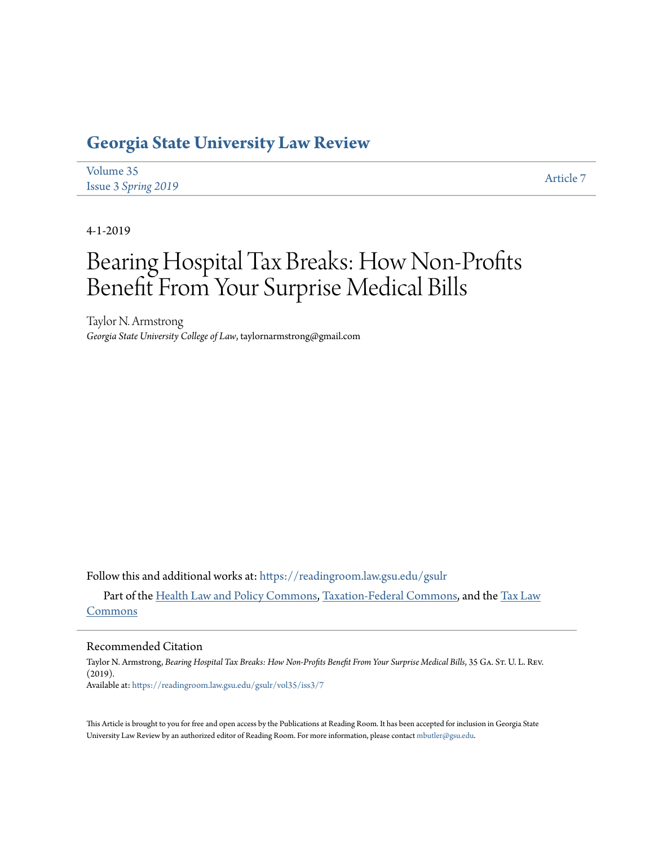# **[Georgia State University Law Review](https://readingroom.law.gsu.edu/gsulr?utm_source=readingroom.law.gsu.edu%2Fgsulr%2Fvol35%2Fiss3%2F7&utm_medium=PDF&utm_campaign=PDFCoverPages)**

| Volume 35           | Article 7 |
|---------------------|-----------|
| Issue 3 Spring 2019 |           |

4-1-2019

# Bearing Hospital Tax Breaks: How Non-Profits Benefit From Your Surprise Medical Bills

Taylor N. Armstrong *Georgia State University College of Law*, taylornarmstrong@gmail.com

Follow this and additional works at: [https://readingroom.law.gsu.edu/gsulr](https://readingroom.law.gsu.edu/gsulr?utm_source=readingroom.law.gsu.edu%2Fgsulr%2Fvol35%2Fiss3%2F7&utm_medium=PDF&utm_campaign=PDFCoverPages)

Part of the [Health Law and Policy Commons](http://network.bepress.com/hgg/discipline/901?utm_source=readingroom.law.gsu.edu%2Fgsulr%2Fvol35%2Fiss3%2F7&utm_medium=PDF&utm_campaign=PDFCoverPages), [Taxation-Federal Commons](http://network.bepress.com/hgg/discipline/881?utm_source=readingroom.law.gsu.edu%2Fgsulr%2Fvol35%2Fiss3%2F7&utm_medium=PDF&utm_campaign=PDFCoverPages), and the [Tax Law](http://network.bepress.com/hgg/discipline/898?utm_source=readingroom.law.gsu.edu%2Fgsulr%2Fvol35%2Fiss3%2F7&utm_medium=PDF&utm_campaign=PDFCoverPages) [Commons](http://network.bepress.com/hgg/discipline/898?utm_source=readingroom.law.gsu.edu%2Fgsulr%2Fvol35%2Fiss3%2F7&utm_medium=PDF&utm_campaign=PDFCoverPages)

#### Recommended Citation

Taylor N. Armstrong, *Bearing Hospital Tax Breaks: How Non-Profits Benefit From Your Surprise Medical Bills*, 35 Ga. St. U. L. Rev. (2019). Available at: [https://readingroom.law.gsu.edu/gsulr/vol35/iss3/7](https://readingroom.law.gsu.edu/gsulr/vol35/iss3/7?utm_source=readingroom.law.gsu.edu%2Fgsulr%2Fvol35%2Fiss3%2F7&utm_medium=PDF&utm_campaign=PDFCoverPages)

This Article is brought to you for free and open access by the Publications at Reading Room. It has been accepted for inclusion in Georgia State University Law Review by an authorized editor of Reading Room. For more information, please contact [mbutler@gsu.edu.](mailto:mbutler@gsu.edu)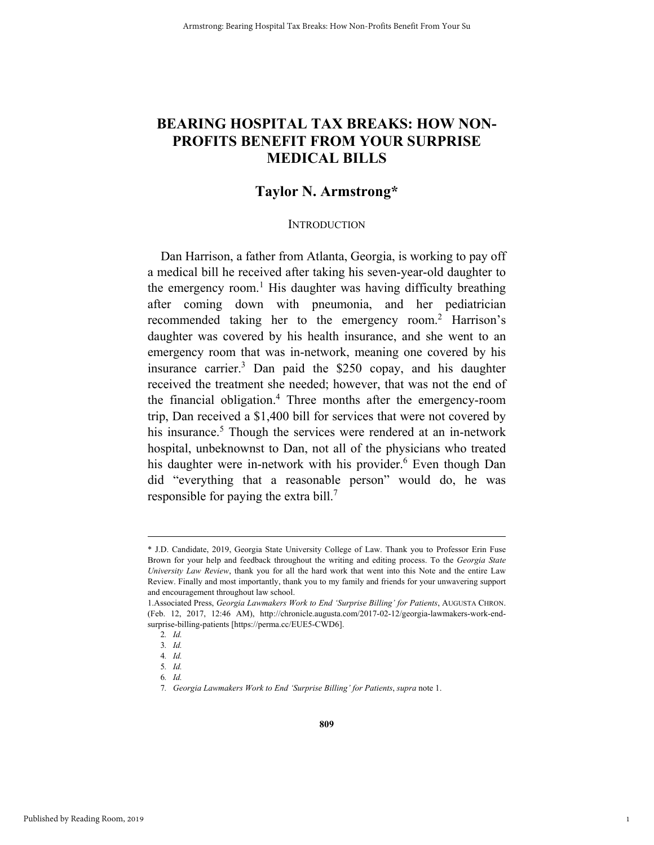## **BEARING HOSPITAL TAX BREAKS: HOW NON-PROFITS BENEFIT FROM YOUR SURPRISE MEDICAL BILLS**

### **Taylor N. Armstrong\***

#### **INTRODUCTION**

Dan Harrison, a father from Atlanta, Georgia, is working to pay off a medical bill he received after taking his seven-year-old daughter to the emergency room.<sup>1</sup> His daughter was having difficulty breathing after coming down with pneumonia, and her pediatrician recommended taking her to the emergency room.<sup>2</sup> Harrison's daughter was covered by his health insurance, and she went to an emergency room that was in-network, meaning one covered by his insurance carrier.3 Dan paid the \$250 copay, and his daughter received the treatment she needed; however, that was not the end of the financial obligation.4 Three months after the emergency-room trip, Dan received a \$1,400 bill for services that were not covered by his insurance.<sup>5</sup> Though the services were rendered at an in-network hospital, unbeknownst to Dan, not all of the physicians who treated his daughter were in-network with his provider.<sup>6</sup> Even though Dan did "everything that a reasonable person" would do, he was responsible for paying the extra bill.7

1

 <sup>\*</sup> J.D. Candidate, 2019, Georgia State University College of Law. Thank you to Professor Erin Fuse Brown for your help and feedback throughout the writing and editing process. To the *Georgia State University Law Review*, thank you for all the hard work that went into this Note and the entire Law Review. Finally and most importantly, thank you to my family and friends for your unwavering support and encouragement throughout law school.

<sup>1.</sup>Associated Press, *Georgia Lawmakers Work to End 'Surprise Billing' for Patients*, AUGUSTA CHRON. (Feb. 12, 2017, 12:46 AM), http://chronicle.augusta.com/2017-02-12/georgia-lawmakers-work-endsurprise-billing-patients [https://perma.cc/EUE5-CWD6].

<sup>2</sup>*. Id.*

<sup>3</sup>*. Id.*

<sup>4</sup>*. Id.* 5*. Id.*

<sup>6</sup>*. Id.*

<sup>7</sup>*. Georgia Lawmakers Work to End 'Surprise Billing' for Patients*, *supra* note 1.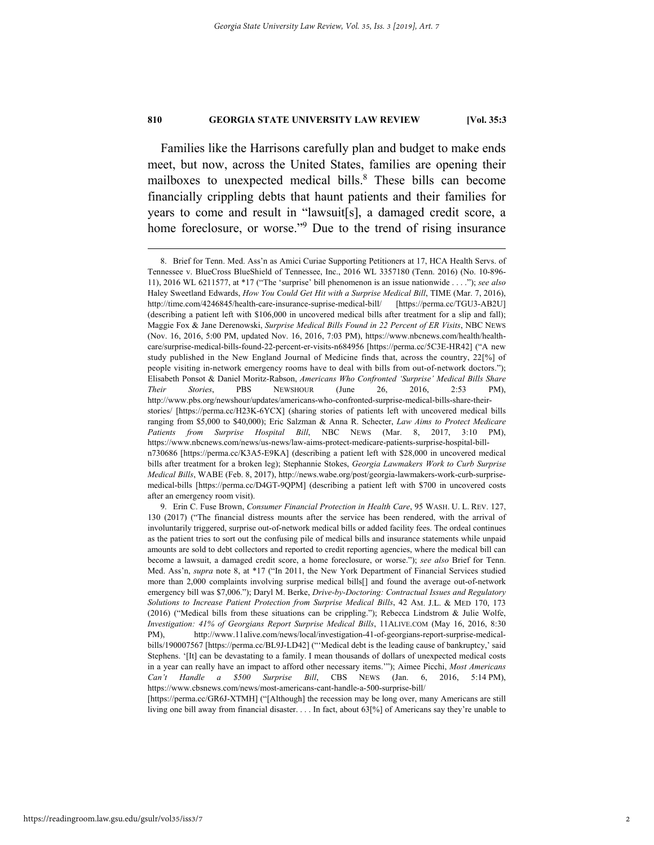Families like the Harrisons carefully plan and budget to make ends meet, but now, across the United States, families are opening their mailboxes to unexpected medical bills.<sup>8</sup> These bills can become financially crippling debts that haunt patients and their families for years to come and result in "lawsuit[s], a damaged credit score, a home foreclosure, or worse."<sup>9</sup> Due to the trend of rising insurance

after an emergency room visit).

[https://perma.cc/GR6J-XTMH] ("[Although] the recession may be long over, many Americans are still living one bill away from financial disaster. . . . In fact, about 63[%] of Americans say they're unable to

 <sup>8.</sup> Brief for Tenn. Med. Ass'n as Amici Curiae Supporting Petitioners at 17, HCA Health Servs. of Tennessee v. BlueCross BlueShield of Tennessee, Inc., 2016 WL 3357180 (Tenn. 2016) (No. 10-896- 11), 2016 WL 6211577, at \*17 ("The 'surprise' bill phenomenon is an issue nationwide . . . ."); *see also* Haley Sweetland Edwards, *How You Could Get Hit with a Surprise Medical Bill*, TIME (Mar. 7, 2016), http://time.com/4246845/health-care-insurance-suprise-medical-bill/ [https://perma.cc/TGU3-AB2U] (describing a patient left with \$106,000 in uncovered medical bills after treatment for a slip and fall); Maggie Fox & Jane Derenowski, *Surprise Medical Bills Found in 22 Percent of ER Visits*, NBC NEWS (Nov. 16, 2016, 5:00 PM, updated Nov. 16, 2016, 7:03 PM), https://www.nbcnews.com/health/healthcare/surprise-medical-bills-found-22-percent-er-visits-n684956 [https://perma.cc/5C3E-HR42] ("A new study published in the New England Journal of Medicine finds that, across the country, 22[%] of people visiting in-network emergency rooms have to deal with bills from out-of-network doctors."); Elisabeth Ponsot & Daniel Moritz-Rabson, *Americans Who Confronted 'Surprise' Medical Bills Share Their Stories*, PBS NEWSHOUR (June 26, 2016, 2:53 PM), http://www.pbs.org/newshour/updates/americans-who-confronted-surprise-medical-bills-share-theirstories/ [https://perma.cc/H23K-6YCX] (sharing stories of patients left with uncovered medical bills ranging from \$5,000 to \$40,000); Eric Salzman & Anna R. Schecter, *Law Aims to Protect Medicare Patients from Surprise Hospital Bill*, NBC NEWS (Mar. 8, 2017, 3:10 PM), https://www.nbcnews.com/news/us-news/law-aims-protect-medicare-patients-surprise-hospital-billn730686 [https://perma.cc/K3A5-E9KA] (describing a patient left with \$28,000 in uncovered medical bills after treatment for a broken leg); Stephannie Stokes, *Georgia Lawmakers Work to Curb Surprise Medical Bills*, WABE (Feb. 8, 2017), http://news.wabe.org/post/georgia-lawmakers-work-curb-surprisemedical-bills [https://perma.cc/D4GT-9QPM] (describing a patient left with \$700 in uncovered costs

 <sup>9.</sup> Erin C. Fuse Brown, *Consumer Financial Protection in Health Care*, 95 WASH. U. L. REV. 127, 130 (2017) ("The financial distress mounts after the service has been rendered, with the arrival of involuntarily triggered, surprise out-of-network medical bills or added facility fees. The ordeal continues as the patient tries to sort out the confusing pile of medical bills and insurance statements while unpaid amounts are sold to debt collectors and reported to credit reporting agencies, where the medical bill can become a lawsuit, a damaged credit score, a home foreclosure, or worse."); *see also* Brief for Tenn. Med. Ass'n, *supra* note 8, at \*17 ("In 2011, the New York Department of Financial Services studied more than 2,000 complaints involving surprise medical bills[] and found the average out-of-network emergency bill was \$7,006."); Daryl M. Berke, *Drive-by-Doctoring: Contractual Issues and Regulatory Solutions to Increase Patient Protection from Surprise Medical Bills*, 42 AM. J.L. & MED 170, 173 (2016) ("Medical bills from these situations can be crippling."); Rebecca Lindstrom & Julie Wolfe, *Investigation: 41% of Georgians Report Surprise Medical Bills*, 11ALIVE.COM (May 16, 2016, 8:30 PM), http://www.11alive.com/news/local/investigation-41-of-georgians-report-surprise-medicalbills/190007567 [https://perma.cc/BL9J-LD42] ("'Medical debt is the leading cause of bankruptcy,' said Stephens. '[It] can be devastating to a family. I mean thousands of dollars of unexpected medical costs in a year can really have an impact to afford other necessary items.'"); Aimee Picchi, *Most Americans Can't Handle a \$500 Surprise Bill*, CBS NEWS (Jan. 6, 2016, 5:14 PM), https://www.cbsnews.com/news/most-americans-cant-handle-a-500-surprise-bill/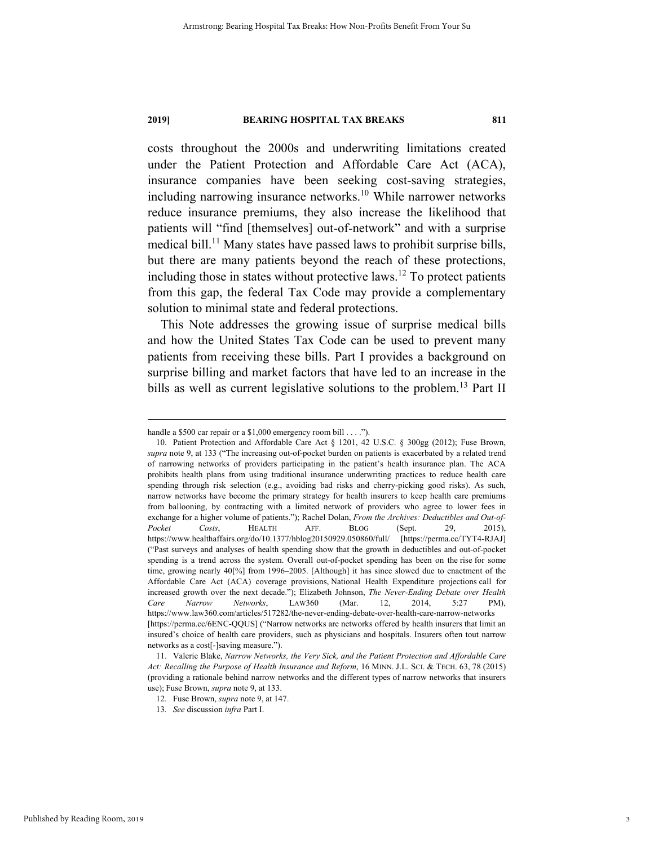costs throughout the 2000s and underwriting limitations created under the Patient Protection and Affordable Care Act (ACA), insurance companies have been seeking cost-saving strategies, including narrowing insurance networks.<sup>10</sup> While narrower networks reduce insurance premiums, they also increase the likelihood that patients will "find [themselves] out-of-network" and with a surprise medical bill.<sup>11</sup> Many states have passed laws to prohibit surprise bills, but there are many patients beyond the reach of these protections, including those in states without protective laws.12 To protect patients from this gap, the federal Tax Code may provide a complementary solution to minimal state and federal protections.

This Note addresses the growing issue of surprise medical bills and how the United States Tax Code can be used to prevent many patients from receiving these bills. Part I provides a background on surprise billing and market factors that have led to an increase in the bills as well as current legislative solutions to the problem.<sup>13</sup> Part II

Published by Reading Room, 2019

handle a \$500 car repair or a \$1,000 emergency room bill . . . .").

 <sup>10.</sup> Patient Protection and Affordable Care Act § 1201, 42 U.S.C. § 300gg (2012); Fuse Brown, *supra* note 9, at 133 ("The increasing out-of-pocket burden on patients is exacerbated by a related trend of narrowing networks of providers participating in the patient's health insurance plan. The ACA prohibits health plans from using traditional insurance underwriting practices to reduce health care spending through risk selection (e.g., avoiding bad risks and cherry-picking good risks). As such, narrow networks have become the primary strategy for health insurers to keep health care premiums from ballooning, by contracting with a limited network of providers who agree to lower fees in exchange for a higher volume of patients."); Rachel Dolan, *From the Archives: Deductibles and Out-of-Pocket Costs*, HEALTH AFF. BLOG (Sept. 29, 2015), https://www.healthaffairs.org/do/10.1377/hblog20150929.050860/full/ [https://perma.cc/TYT4-RJAJ] ("Past surveys and analyses of health spending show that the growth in deductibles and out-of-pocket spending is a trend across the system. Overall out-of-pocket spending has been on the rise for some time, growing nearly 40[%] from 1996–2005. [Although] it has since slowed due to enactment of the Affordable Care Act (ACA) coverage provisions, National Health Expenditure projections call for increased growth over the next decade."); Elizabeth Johnson, *The Never-Ending Debate over Health Care Narrow Networks*, LAW360 (Mar. 12, 2014, 5:27 PM), https://www.law360.com/articles/517282/the-never-ending-debate-over-health-care-narrow-networks [https://perma.cc/6ENC-QQUS] ("Narrow networks are networks offered by health insurers that limit an insured's choice of health care providers, such as physicians and hospitals. Insurers often tout narrow networks as a cost[-]saving measure.").

 <sup>11.</sup> Valerie Blake, *Narrow Networks, the Very Sick, and the Patient Protection and Affordable Care Act: Recalling the Purpose of Health Insurance and Reform*, 16 MINN. J.L. SCI. & TECH. 63, 78 (2015) (providing a rationale behind narrow networks and the different types of narrow networks that insurers use); Fuse Brown, *supra* note 9, at 133.

 <sup>12.</sup> Fuse Brown, *supra* note 9, at 147.

<sup>13</sup>*. See* discussion *infra* Part I.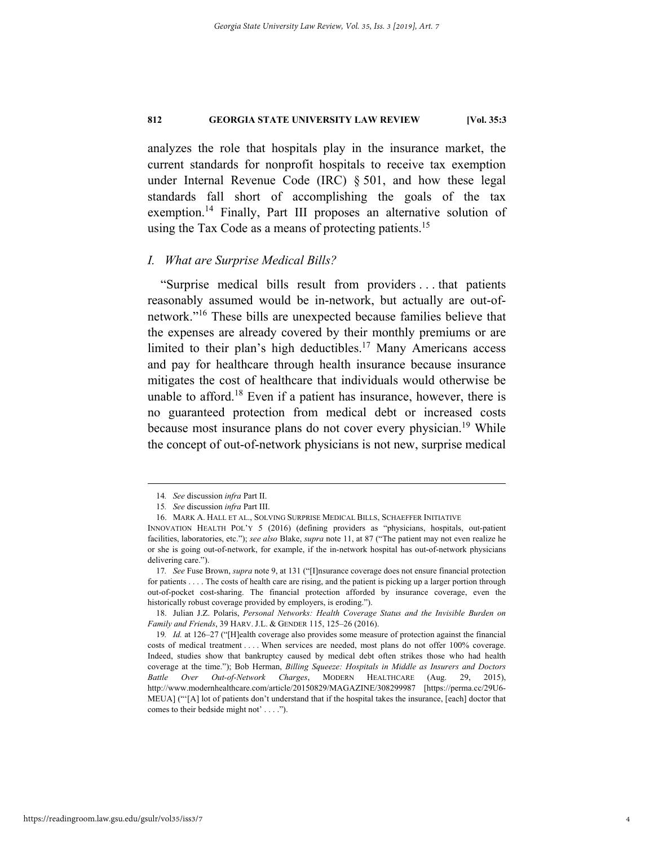analyzes the role that hospitals play in the insurance market, the current standards for nonprofit hospitals to receive tax exemption under Internal Revenue Code (IRC) § 501, and how these legal standards fall short of accomplishing the goals of the tax exemption.<sup>14</sup> Finally, Part III proposes an alternative solution of using the Tax Code as a means of protecting patients.<sup>15</sup>

#### *I. What are Surprise Medical Bills?*

"Surprise medical bills result from providers . . . that patients reasonably assumed would be in-network, but actually are out-ofnetwork."16 These bills are unexpected because families believe that the expenses are already covered by their monthly premiums or are limited to their plan's high deductibles.<sup>17</sup> Many Americans access and pay for healthcare through health insurance because insurance mitigates the cost of healthcare that individuals would otherwise be unable to afford.<sup>18</sup> Even if a patient has insurance, however, there is no guaranteed protection from medical debt or increased costs because most insurance plans do not cover every physician.<sup>19</sup> While the concept of out-of-network physicians is not new, surprise medical

 <sup>14</sup>*. See* discussion *infra* Part II.

<sup>15</sup>*. See* discussion *infra* Part III.

 <sup>16.</sup> MARK A. HALL ET AL., SOLVING SURPRISE MEDICAL BILLS, SCHAEFFER INITIATIVE

INNOVATION HEALTH POL'Y 5 (2016) (defining providers as "physicians, hospitals, out-patient facilities, laboratories, etc."); *see also* Blake, *supra* note 11, at 87 ("The patient may not even realize he or she is going out-of-network, for example, if the in-network hospital has out-of-network physicians delivering care.").

<sup>17</sup>*. See* Fuse Brown, *supra* note 9, at 131 ("[I]nsurance coverage does not ensure financial protection for patients . . . . The costs of health care are rising, and the patient is picking up a larger portion through out-of-pocket cost-sharing. The financial protection afforded by insurance coverage, even the historically robust coverage provided by employers, is eroding.").

 <sup>18.</sup> Julian J.Z. Polaris, *Personal Networks: Health Coverage Status and the Invisible Burden on Family and Friends*, 39 HARV. J.L. & GENDER 115, 125–26 (2016).

<sup>19</sup>*. Id.* at 126–27 ("[H]ealth coverage also provides some measure of protection against the financial costs of medical treatment . . . . When services are needed, most plans do not offer 100% coverage. Indeed, studies show that bankruptcy caused by medical debt often strikes those who had health coverage at the time."); Bob Herman, *Billing Squeeze: Hospitals in Middle as Insurers and Doctors Battle Over Out-of-Network Charges*, MODERN HEALTHCARE (Aug. 29, 2015), http://www.modernhealthcare.com/article/20150829/MAGAZINE/308299987 [https://perma.cc/29U6- MEUA] ("'[A] lot of patients don't understand that if the hospital takes the insurance, [each] doctor that comes to their bedside might not' . . . .").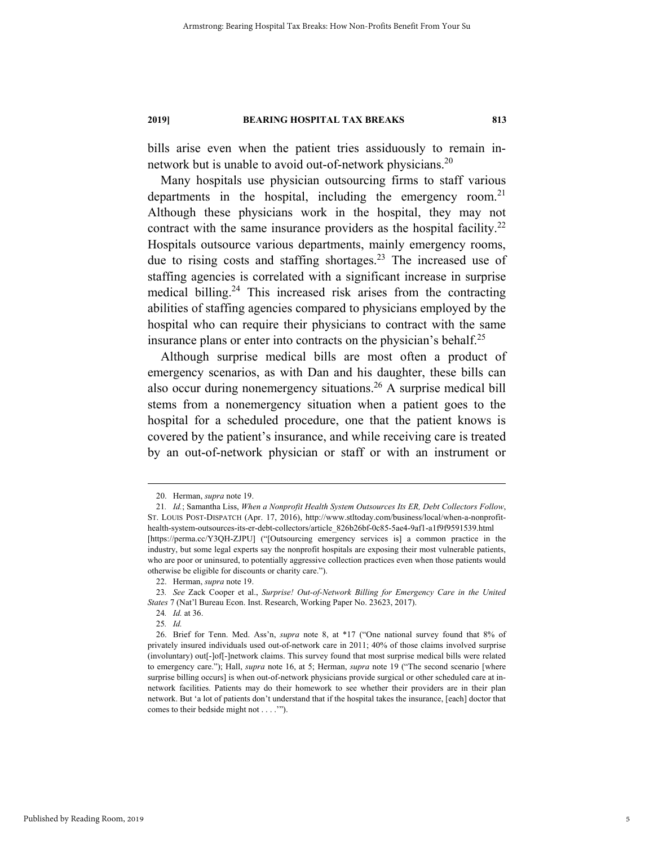bills arise even when the patient tries assiduously to remain innetwork but is unable to avoid out-of-network physicians.<sup>20</sup>

Many hospitals use physician outsourcing firms to staff various departments in the hospital, including the emergency room.<sup>21</sup> Although these physicians work in the hospital, they may not contract with the same insurance providers as the hospital facility.<sup>22</sup> Hospitals outsource various departments, mainly emergency rooms, due to rising costs and staffing shortages.<sup>23</sup> The increased use of staffing agencies is correlated with a significant increase in surprise medical billing.<sup>24</sup> This increased risk arises from the contracting abilities of staffing agencies compared to physicians employed by the hospital who can require their physicians to contract with the same insurance plans or enter into contracts on the physician's behalf.<sup>25</sup>

Although surprise medical bills are most often a product of emergency scenarios, as with Dan and his daughter, these bills can also occur during nonemergency situations.<sup>26</sup> A surprise medical bill stems from a nonemergency situation when a patient goes to the hospital for a scheduled procedure, one that the patient knows is covered by the patient's insurance, and while receiving care is treated by an out-of-network physician or staff or with an instrument or

 <sup>20.</sup> Herman, *supra* note 19.

<sup>21</sup>*. Id.*; Samantha Liss, *When a Nonprofit Health System Outsources Its ER, Debt Collectors Follow*, ST. LOUIS POST-DISPATCH (Apr. 17, 2016), http://www.stltoday.com/business/local/when-a-nonprofithealth-system-outsources-its-er-debt-collectors/article\_826b26bf-0c85-5ae4-9af1-a1f9f9591539.html [https://perma.cc/Y3QH-ZJPU] ("[Outsourcing emergency services is] a common practice in the industry, but some legal experts say the nonprofit hospitals are exposing their most vulnerable patients, who are poor or uninsured, to potentially aggressive collection practices even when those patients would otherwise be eligible for discounts or charity care.").

 <sup>22.</sup> Herman, *supra* note 19.

<sup>23</sup>*. See* Zack Cooper et al., *Surprise! Out-of-Network Billing for Emergency Care in the United States* 7 (Nat'l Bureau Econ. Inst. Research, Working Paper No. 23623, 2017).

<sup>24</sup>*. Id.* at 36.

<sup>25</sup>*. Id.*

 <sup>26.</sup> Brief for Tenn. Med. Ass'n, *supra* note 8, at \*17 ("One national survey found that 8% of privately insured individuals used out-of-network care in 2011; 40% of those claims involved surprise (involuntary) out[-]of[-]network claims. This survey found that most surprise medical bills were related to emergency care."); Hall, *supra* note 16, at 5; Herman, *supra* note 19 ("The second scenario [where surprise billing occurs] is when out-of-network physicians provide surgical or other scheduled care at innetwork facilities. Patients may do their homework to see whether their providers are in their plan network. But 'a lot of patients don't understand that if the hospital takes the insurance, [each] doctor that comes to their bedside might not . . . .'").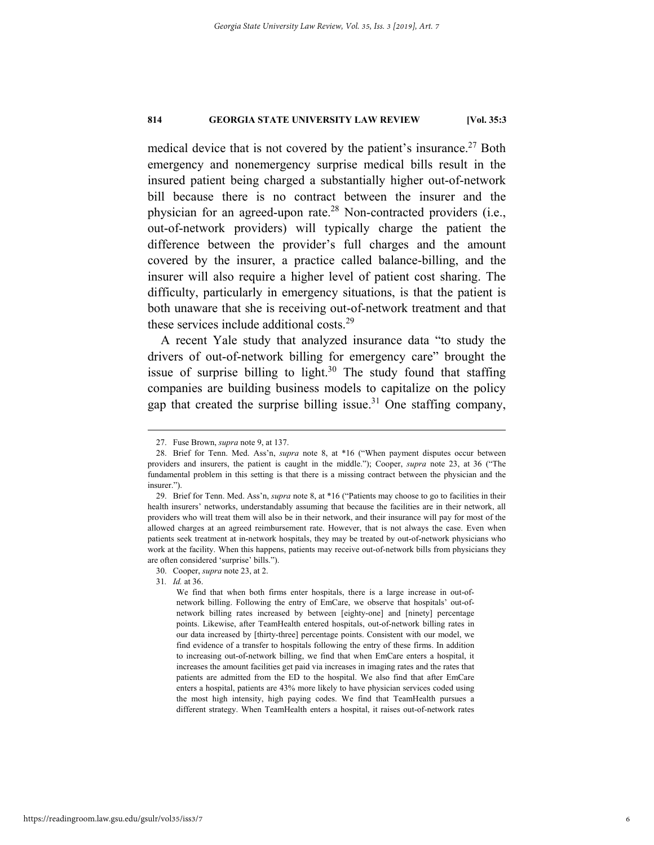medical device that is not covered by the patient's insurance.<sup>27</sup> Both emergency and nonemergency surprise medical bills result in the insured patient being charged a substantially higher out-of-network bill because there is no contract between the insurer and the physician for an agreed-upon rate.<sup>28</sup> Non-contracted providers (i.e., out-of-network providers) will typically charge the patient the difference between the provider's full charges and the amount covered by the insurer, a practice called balance-billing, and the insurer will also require a higher level of patient cost sharing. The difficulty, particularly in emergency situations, is that the patient is both unaware that she is receiving out-of-network treatment and that these services include additional costs.<sup>29</sup>

A recent Yale study that analyzed insurance data "to study the drivers of out-of-network billing for emergency care" brought the issue of surprise billing to light. $30$  The study found that staffing companies are building business models to capitalize on the policy gap that created the surprise billing issue.<sup>31</sup> One staffing company,

31*. Id.* at 36.

 <sup>27.</sup> Fuse Brown, *supra* note 9, at 137.

 <sup>28.</sup> Brief for Tenn. Med. Ass'n, *supra* note 8, at \*16 ("When payment disputes occur between providers and insurers, the patient is caught in the middle."); Cooper, *supra* note 23, at 36 ("The fundamental problem in this setting is that there is a missing contract between the physician and the insurer.").

 <sup>29.</sup> Brief for Tenn. Med. Ass'n, *supra* note 8, at \*16 ("Patients may choose to go to facilities in their health insurers' networks, understandably assuming that because the facilities are in their network, all providers who will treat them will also be in their network, and their insurance will pay for most of the allowed charges at an agreed reimbursement rate. However, that is not always the case. Even when patients seek treatment at in-network hospitals, they may be treated by out-of-network physicians who work at the facility. When this happens, patients may receive out-of-network bills from physicians they are often considered 'surprise' bills.").

 <sup>30.</sup> Cooper, *supra* note 23, at 2.

We find that when both firms enter hospitals, there is a large increase in out-ofnetwork billing. Following the entry of EmCare, we observe that hospitals' out-ofnetwork billing rates increased by between [eighty-one] and [ninety] percentage points. Likewise, after TeamHealth entered hospitals, out-of-network billing rates in our data increased by [thirty-three] percentage points. Consistent with our model, we find evidence of a transfer to hospitals following the entry of these firms. In addition to increasing out-of-network billing, we find that when EmCare enters a hospital, it increases the amount facilities get paid via increases in imaging rates and the rates that patients are admitted from the ED to the hospital. We also find that after EmCare enters a hospital, patients are 43% more likely to have physician services coded using the most high intensity, high paying codes. We find that TeamHealth pursues a different strategy. When TeamHealth enters a hospital, it raises out-of-network rates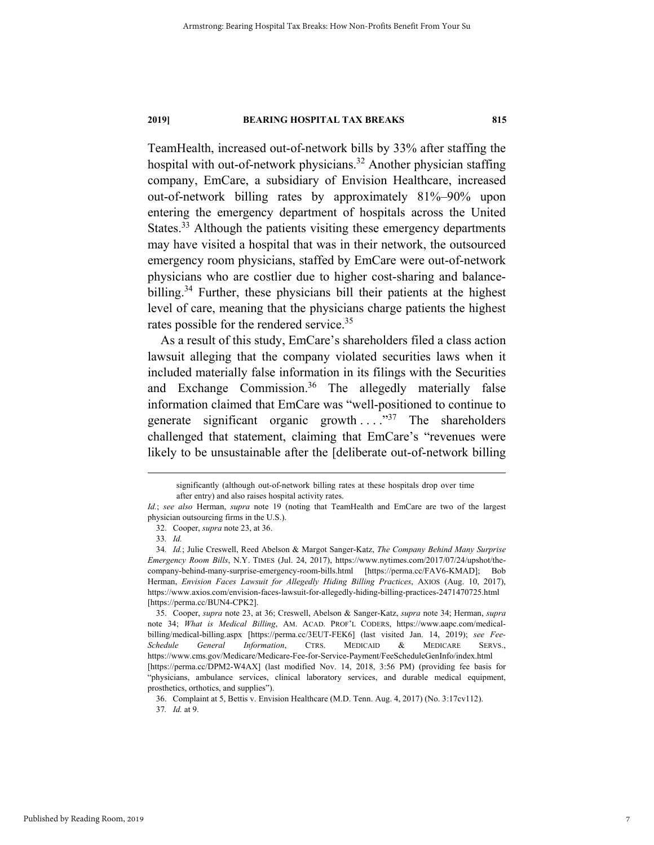TeamHealth, increased out-of-network bills by 33% after staffing the hospital with out-of-network physicians.<sup>32</sup> Another physician staffing company, EmCare, a subsidiary of Envision Healthcare, increased out-of-network billing rates by approximately 81%–90% upon entering the emergency department of hospitals across the United States.<sup>33</sup> Although the patients visiting these emergency departments may have visited a hospital that was in their network, the outsourced emergency room physicians, staffed by EmCare were out-of-network physicians who are costlier due to higher cost-sharing and balancebilling.<sup>34</sup> Further, these physicians bill their patients at the highest level of care, meaning that the physicians charge patients the highest rates possible for the rendered service.<sup>35</sup>

As a result of this study, EmCare's shareholders filed a class action lawsuit alleging that the company violated securities laws when it included materially false information in its filings with the Securities and Exchange Commission.<sup>36</sup> The allegedly materially false information claimed that EmCare was "well-positioned to continue to generate significant organic growth  $\ldots$ <sup>37</sup> The shareholders challenged that statement, claiming that EmCare's "revenues were likely to be unsustainable after the [deliberate out-of-network billing

significantly (although out-of-network billing rates at these hospitals drop over time after entry) and also raises hospital activity rates.

*Id.*; *see also* Herman, *supra* note 19 (noting that TeamHealth and EmCare are two of the largest physician outsourcing firms in the U.S.).

 <sup>32.</sup> Cooper, *supra* note 23, at 36.

<sup>33</sup>*. Id.*

<sup>34</sup>*. Id.*; Julie Creswell, Reed Abelson & Margot Sanger-Katz, *The Company Behind Many Surprise Emergency Room Bills*, N.Y. TIMES (Jul. 24, 2017), https://www.nytimes.com/2017/07/24/upshot/thecompany-behind-many-surprise-emergency-room-bills.html [https://perma.cc/FAV6-KMAD]; Bob Herman, *Envision Faces Lawsuit for Allegedly Hiding Billing Practices*, AXIOS (Aug. 10, 2017), https://www.axios.com/envision-faces-lawsuit-for-allegedly-hiding-billing-practices-2471470725.html [https://perma.cc/BUN4-CPK2].

 <sup>35.</sup> Cooper, *supra* note 23, at 36; Creswell, Abelson & Sanger-Katz, *supra* note 34; Herman, *supra*  note 34; *What is Medical Billing*, AM. ACAD. PROF'L CODERS, https://www.aapc.com/medicalbilling/medical-billing.aspx [https://perma.cc/3EUT-FEK6] (last visited Jan. 14, 2019); *see Fee-Schedule General Information*, CTRS. MEDICAID & MEDICARE SERVS., https://www.cms.gov/Medicare/Medicare-Fee-for-Service-Payment/FeeScheduleGenInfo/index.html [https://perma.cc/DPM2-W4AX] (last modified Nov. 14, 2018, 3:56 PM) (providing fee basis for "physicians, ambulance services, clinical laboratory services, and durable medical equipment, prosthetics, orthotics, and supplies").

 <sup>36.</sup> Complaint at 5, Bettis v. Envision Healthcare (M.D. Tenn. Aug. 4, 2017) (No. 3:17cv112). 37*. Id.* at 9.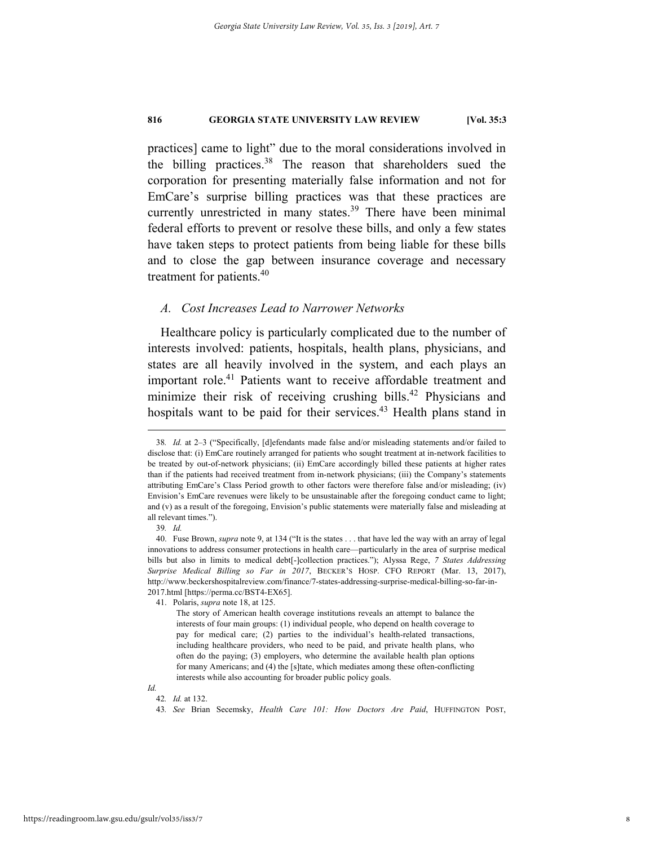practices] came to light" due to the moral considerations involved in the billing practices.<sup>38</sup> The reason that shareholders sued the corporation for presenting materially false information and not for EmCare's surprise billing practices was that these practices are currently unrestricted in many states.<sup>39</sup> There have been minimal federal efforts to prevent or resolve these bills, and only a few states have taken steps to protect patients from being liable for these bills and to close the gap between insurance coverage and necessary treatment for patients.<sup>40</sup>

#### *A. Cost Increases Lead to Narrower Networks*

Healthcare policy is particularly complicated due to the number of interests involved: patients, hospitals, health plans, physicians, and states are all heavily involved in the system, and each plays an important role.<sup>41</sup> Patients want to receive affordable treatment and minimize their risk of receiving crushing bills.<sup>42</sup> Physicians and hospitals want to be paid for their services.<sup>43</sup> Health plans stand in

42*. Id.* at 132.

*Id.*

 <sup>38</sup>*. Id.* at 2–3 ("Specifically, [d]efendants made false and/or misleading statements and/or failed to disclose that: (i) EmCare routinely arranged for patients who sought treatment at in-network facilities to be treated by out-of-network physicians; (ii) EmCare accordingly billed these patients at higher rates than if the patients had received treatment from in-network physicians; (iii) the Company's statements attributing EmCare's Class Period growth to other factors were therefore false and/or misleading; (iv) Envision's EmCare revenues were likely to be unsustainable after the foregoing conduct came to light; and (v) as a result of the foregoing, Envision's public statements were materially false and misleading at all relevant times.").

<sup>39</sup>*. Id.*

 <sup>40.</sup> Fuse Brown, *supra* note 9, at 134 ("It is the states . . . that have led the way with an array of legal innovations to address consumer protections in health care—particularly in the area of surprise medical bills but also in limits to medical debt[-]collection practices."); Alyssa Rege, *7 States Addressing Surprise Medical Billing so Far in 2017*, BECKER'S HOSP. CFO REPORT (Mar. 13, 2017), http://www.beckershospitalreview.com/finance/7-states-addressing-surprise-medical-billing-so-far-in-2017.html [https://perma.cc/BST4-EX65].

 <sup>41.</sup> Polaris, *supra* note 18, at 125.

The story of American health coverage institutions reveals an attempt to balance the interests of four main groups: (1) individual people, who depend on health coverage to pay for medical care; (2) parties to the individual's health-related transactions, including healthcare providers, who need to be paid, and private health plans, who often do the paying; (3) employers, who determine the available health plan options for many Americans; and (4) the [s]tate, which mediates among these often-conflicting interests while also accounting for broader public policy goals.

<sup>43</sup>*. See* Brian Secemsky, *Health Care 101: How Doctors Are Paid*, HUFFINGTON POST,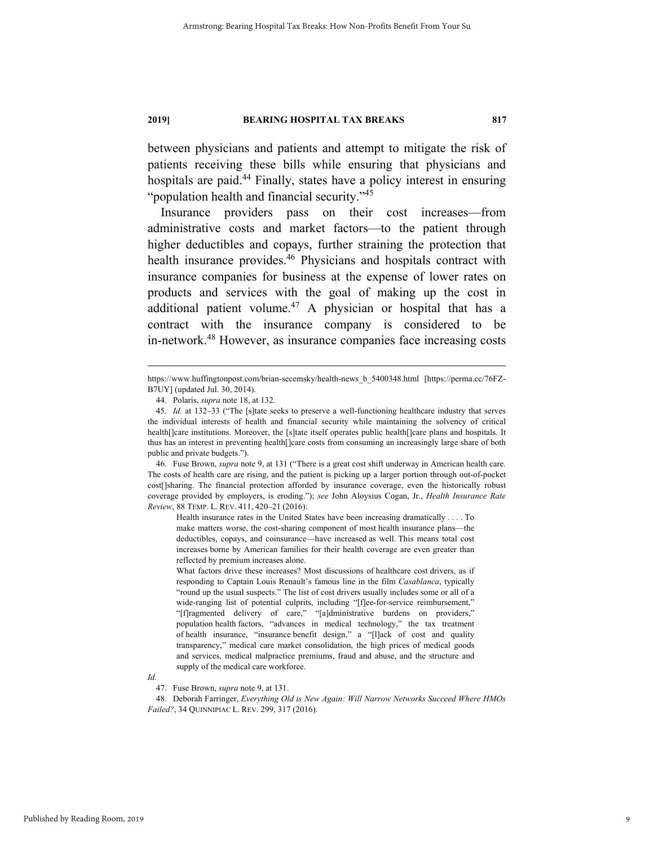between physicians and patients and attempt to mitigate the risk of patients receiving these bills while ensuring that physicians and hospitals are paid.<sup>44</sup> Finally, states have a policy interest in ensuring "population health and financial security."<sup>45</sup>

Insurance providers pass on their cost increases—from administrative costs and market factors—to the patient through higher deductibles and copays, further straining the protection that health insurance provides.<sup>46</sup> Physicians and hospitals contract with insurance companies for business at the expense of lower rates on products and services with the goal of making up the cost in additional patient volume.47 A physician or hospital that has a contract with the insurance company is considered to be in-network.48 However, as insurance companies face increasing costs

 46. Fuse Brown, *supra* note 9, at 131 ("There is a great cost shift underway in American health care. The costs of health care are rising, and the patient is picking up a larger portion through out-of-pocket cost[]sharing. The financial protection afforded by insurance coverage, even the historically robust coverage provided by employers, is eroding."); *see* John Aloysius Cogan, Jr., *Health Insurance Rate Review*, 88 TEMP. L. REV. 411, 420–21 (2016):

Health insurance rates in the United States have been increasing dramatically . . . . To make matters worse, the cost-sharing component of most health insurance plans—the deductibles, copays, and coinsurance—have increased as well. This means total cost increases borne by American families for their health coverage are even greater than reflected by premium increases alone.

What factors drive these increases? Most discussions of healthcare cost drivers, as if responding to Captain Louis Renault's famous line in the film *Casablanca*, typically "round up the usual suspects." The list of cost drivers usually includes some or all of a wide-ranging list of potential culprits, including "[f]ee-for-service reimbursement," "[f]ragmented delivery of care," "[a]dministrative burdens on providers," population health factors, "advances in medical technology," the tax treatment of health insurance, "insurance benefit design," a "[l]ack of cost and quality transparency," medical care market consolidation, the high prices of medical goods and services, medical malpractice premiums, fraud and abuse, and the structure and supply of the medical care workforce.

*Id.*

47. Fuse Brown, *supra* note 9, at 131.

 48. Deborah Farringer, *Everything Old is New Again: Will Narrow Networks Succeed Where HMOs Failed?*, 34 QUINNIPIAC L. REV. 299, 317 (2016).

https://www.huffingtonpost.com/brian-secemsky/health-news\_b\_5400348.html [https://perma.cc/76FZ-B7UY] (updated Jul. 30, 2014).

 <sup>44.</sup> Polaris, *supra* note 18, at 132.

<sup>45</sup>*. Id.* at 132–33 ("The [s]tate seeks to preserve a well-functioning healthcare industry that serves the individual interests of health and financial security while maintaining the solvency of critical health[]care institutions. Moreover, the [s]tate itself operates public health[]care plans and hospitals. It thus has an interest in preventing health[]care costs from consuming an increasingly large share of both public and private budgets.").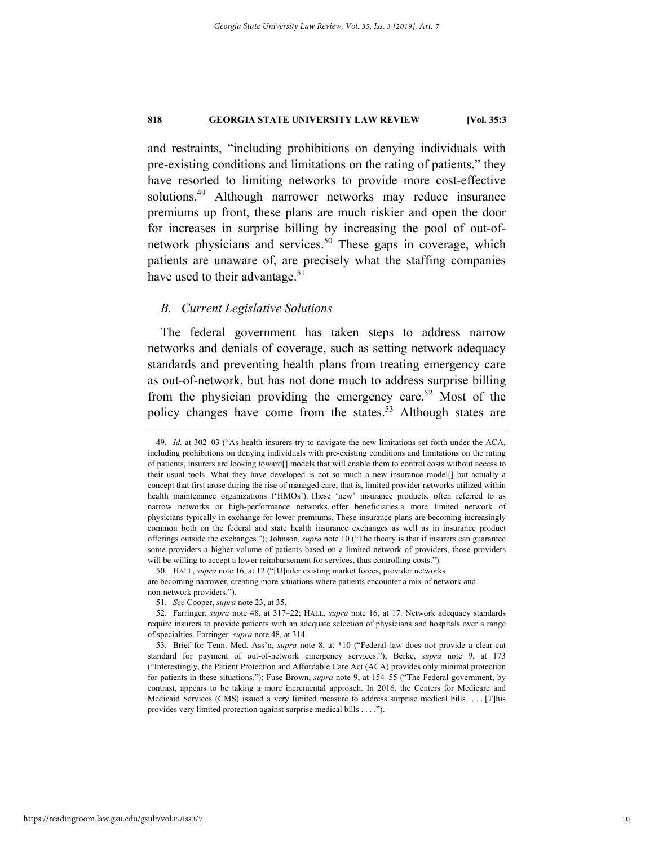and restraints, "including prohibitions on denying individuals with pre-existing conditions and limitations on the rating of patients," they have resorted to limiting networks to provide more cost-effective solutions.<sup>49</sup> Although narrower networks may reduce insurance premiums up front, these plans are much riskier and open the door for increases in surprise billing by increasing the pool of out-ofnetwork physicians and services.<sup>50</sup> These gaps in coverage, which patients are unaware of, are precisely what the staffing companies have used to their advantage.<sup>51</sup>

#### *B. Current Legislative Solutions*

The federal government has taken steps to address narrow networks and denials of coverage, such as setting network adequacy standards and preventing health plans from treating emergency care as out-of-network, but has not done much to address surprise billing from the physician providing the emergency care.<sup>52</sup> Most of the policy changes have come from the states.<sup>53</sup> Although states are

 <sup>49</sup>*. Id.* at 302–03 ("As health insurers try to navigate the new limitations set forth under the ACA, including prohibitions on denying individuals with pre-existing conditions and limitations on the rating of patients, insurers are looking toward[] models that will enable them to control costs without access to their usual tools. What they have developed is not so much a new insurance model[] but actually a concept that first arose during the rise of managed care; that is, limited provider networks utilized within health maintenance organizations ('HMOs'). These 'new' insurance products, often referred to as narrow networks or high-performance networks, offer beneficiaries a more limited network of physicians typically in exchange for lower premiums. These insurance plans are becoming increasingly common both on the federal and state health insurance exchanges as well as in insurance product offerings outside the exchanges."); Johnson, *supra* note 10 ("The theory is that if insurers can guarantee some providers a higher volume of patients based on a limited network of providers, those providers will be willing to accept a lower reimbursement for services, thus controlling costs.").

 <sup>50.</sup> HALL, *supra* note 16, at 12 ("[U]nder existing market forces, provider networks are becoming narrower, creating more situations where patients encounter a mix of network and non-network providers.").

<sup>51</sup>*. See* Cooper, *supra* note 23, at 35.

 <sup>52.</sup> Farringer, *supra* note 48, at 317–22; HALL, *supra* note 16, at 17. Network adequacy standards require insurers to provide patients with an adequate selection of physicians and hospitals over a range of specialties. Farringer*, supra* note 48, at 314.

 <sup>53.</sup> Brief for Tenn. Med. Ass'n, *supra* note 8, at \*10 ("Federal law does not provide a clear-cut standard for payment of out-of-network emergency services."); Berke, *supra* note 9, at 173 ("Interestingly, the Patient Protection and Affordable Care Act (ACA) provides only minimal protection for patients in these situations."); Fuse Brown, *supra* note 9, at 154–55 ("The Federal government, by contrast, appears to be taking a more incremental approach. In 2016, the Centers for Medicare and Medicaid Services (CMS) issued a very limited measure to address surprise medical bills . . . . [T]his provides very limited protection against surprise medical bills . . . .").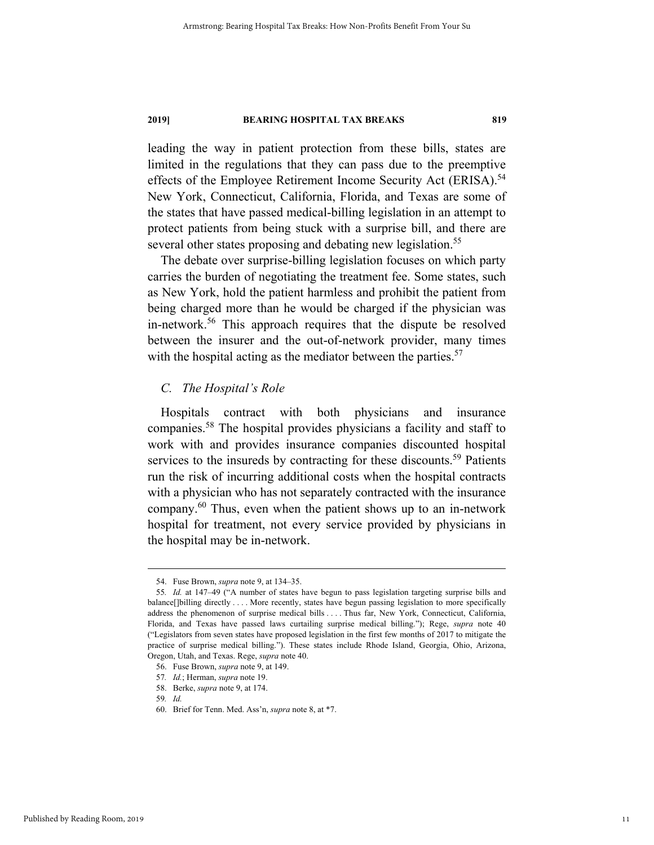leading the way in patient protection from these bills, states are limited in the regulations that they can pass due to the preemptive effects of the Employee Retirement Income Security Act (ERISA).<sup>54</sup> New York, Connecticut, California, Florida, and Texas are some of the states that have passed medical-billing legislation in an attempt to protect patients from being stuck with a surprise bill, and there are several other states proposing and debating new legislation.<sup>55</sup>

The debate over surprise-billing legislation focuses on which party carries the burden of negotiating the treatment fee. Some states, such as New York, hold the patient harmless and prohibit the patient from being charged more than he would be charged if the physician was in-network.<sup>56</sup> This approach requires that the dispute be resolved between the insurer and the out-of-network provider, many times with the hospital acting as the mediator between the parties. $57$ 

#### *C. The Hospital's Role*

Hospitals contract with both physicians and insurance companies.58 The hospital provides physicians a facility and staff to work with and provides insurance companies discounted hospital services to the insureds by contracting for these discounts.<sup>59</sup> Patients run the risk of incurring additional costs when the hospital contracts with a physician who has not separately contracted with the insurance company.60 Thus, even when the patient shows up to an in-network hospital for treatment, not every service provided by physicians in the hospital may be in-network.

 <sup>54.</sup> Fuse Brown, *supra* note 9, at 134–35.

<sup>55</sup>*. Id.* at 147–49 ("A number of states have begun to pass legislation targeting surprise bills and balance[]billing directly . . . . More recently, states have begun passing legislation to more specifically address the phenomenon of surprise medical bills . . . . Thus far, New York, Connecticut, California, Florida, and Texas have passed laws curtailing surprise medical billing."); Rege, *supra* note 40 ("Legislators from seven states have proposed legislation in the first few months of 2017 to mitigate the practice of surprise medical billing."). These states include Rhode Island, Georgia, Ohio, Arizona, Oregon, Utah, and Texas. Rege, *supra* note 40.

 <sup>56.</sup> Fuse Brown, *supra* note 9, at 149.

<sup>57</sup>*. Id.*; Herman, *supra* note 19.

 <sup>58.</sup> Berke, *supra* note 9, at 174.

<sup>59</sup>*. Id.*

 <sup>60.</sup> Brief for Tenn. Med. Ass'n, *supra* note 8, at \*7.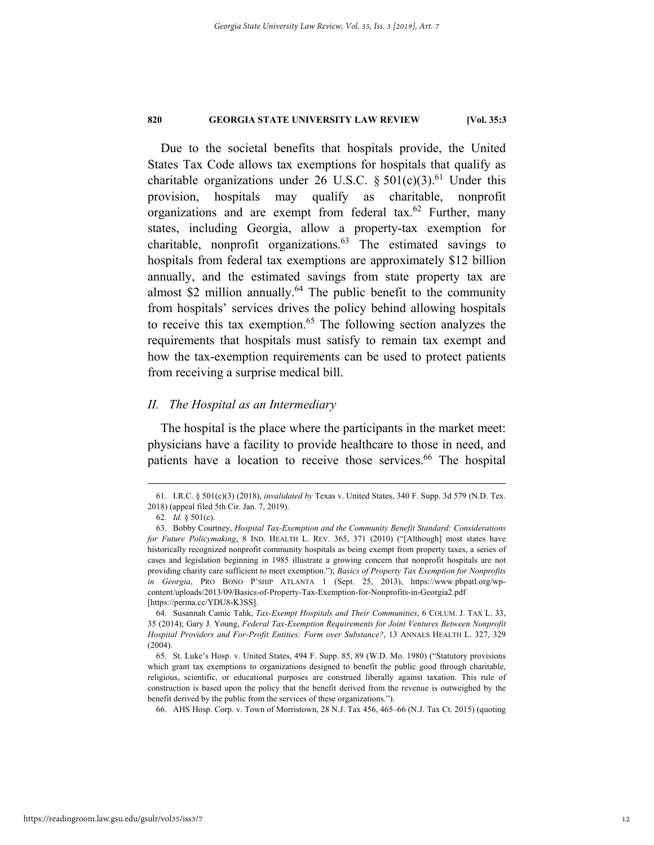Due to the societal benefits that hospitals provide, the United States Tax Code allows tax exemptions for hospitals that qualify as charitable organizations under 26 U.S.C.  $\S 501(c)(3)$ .<sup>61</sup> Under this provision, hospitals may qualify as charitable, nonprofit organizations and are exempt from federal tax.<sup>62</sup> Further, many states, including Georgia, allow a property-tax exemption for charitable, nonprofit organizations.63 The estimated savings to hospitals from federal tax exemptions are approximately \$12 billion annually, and the estimated savings from state property tax are almost \$2 million annually. $64$  The public benefit to the community from hospitals' services drives the policy behind allowing hospitals to receive this tax exemption. $65$  The following section analyzes the requirements that hospitals must satisfy to remain tax exempt and how the tax-exemption requirements can be used to protect patients from receiving a surprise medical bill.

#### *II. The Hospital as an Intermediary*

The hospital is the place where the participants in the market meet: physicians have a facility to provide healthcare to those in need, and patients have a location to receive those services.<sup>66</sup> The hospital

 <sup>61.</sup> I.R.C. § 501(c)(3) (2018), *invalidated by* Texas v. United States, 340 F. Supp. 3d 579 (N.D. Tex. 2018) (appeal filed 5th Cir. Jan. 7, 2019).

<sup>62</sup>*. Id.* § 501(c).

 <sup>63.</sup> Bobby Courtney, *Hospital Tax-Exemption and the Community Benefit Standard: Considerations for Future Policymaking*, 8 IND. HEALTH L. REV. 365, 371 (2010) ("[Although] most states have historically recognized nonprofit community hospitals as being exempt from property taxes, a series of cases and legislation beginning in 1985 illustrate a growing concern that nonprofit hospitals are not providing charity care sufficient to meet exemption."); *Basics of Property Tax Exemption for Nonprofits in Georgia*, PRO BONO P'SHIP ATLANTA 1 (Sept. 25, 2013), https://www.pbpatl.org/wpcontent/uploads/2013/09/Basics-of-Property-Tax-Exemption-for-Nonprofits-in-Georgia2.pdf [https://perma.cc/YDU8-K3SS].

 <sup>64.</sup> Susannah Camic Tahk, *Tax-Exempt Hospitals and Their Communities*, 6 COLUM. J. TAX L. 33, 35 (2014); Gary J. Young, *Federal Tax-Exemption Requirements for Joint Ventures Between Nonprofit Hospital Providers and For-Profit Entities: Form over Substance?*, 13 ANNALS HEALTH L. 327, 329 (2004).

 <sup>65.</sup> St. Luke's Hosp. v. United States, 494 F. Supp. 85, 89 (W.D. Mo. 1980) ("Statutory provisions which grant tax exemptions to organizations designed to benefit the public good through charitable, religious, scientific, or educational purposes are construed liberally against taxation. This rule of construction is based upon the policy that the benefit derived from the revenue is outweighed by the benefit derived by the public from the services of these organizations.").

 <sup>66.</sup> AHS Hosp. Corp. v. Town of Morristown, 28 N.J. Tax 456, 465–66 (N.J. Tax Ct. 2015) (quoting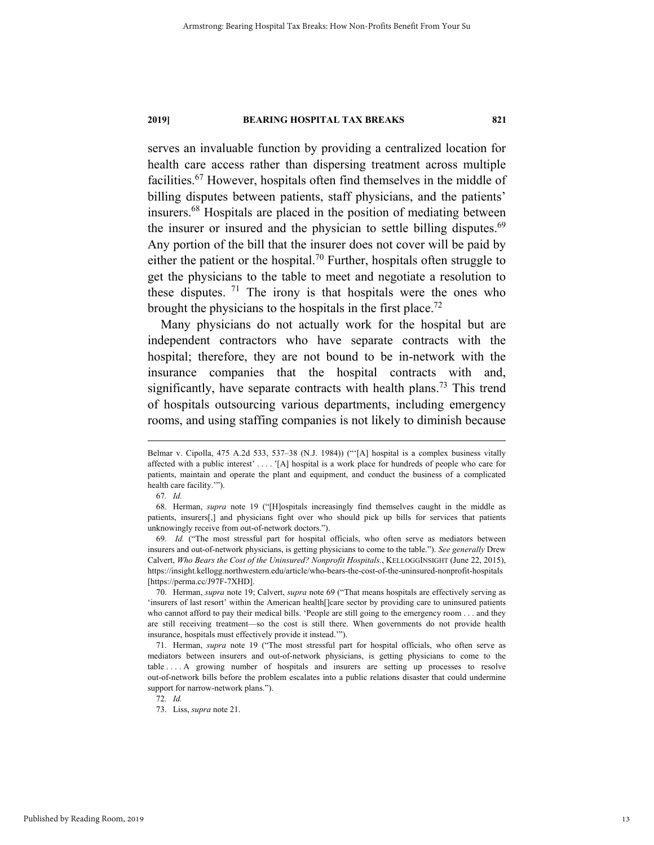serves an invaluable function by providing a centralized location for health care access rather than dispersing treatment across multiple facilities.67 However, hospitals often find themselves in the middle of billing disputes between patients, staff physicians, and the patients' insurers.68 Hospitals are placed in the position of mediating between the insurer or insured and the physician to settle billing disputes.<sup>69</sup> Any portion of the bill that the insurer does not cover will be paid by either the patient or the hospital.<sup>70</sup> Further, hospitals often struggle to get the physicians to the table to meet and negotiate a resolution to these disputes. <sup>71</sup> The irony is that hospitals were the ones who brought the physicians to the hospitals in the first place.<sup>72</sup>

Many physicians do not actually work for the hospital but are independent contractors who have separate contracts with the hospital; therefore, they are not bound to be in-network with the insurance companies that the hospital contracts with and, significantly, have separate contracts with health plans.<sup>73</sup> This trend of hospitals outsourcing various departments, including emergency rooms, and using staffing companies is not likely to diminish because

Belmar v. Cipolla, 475 A.2d 533, 537–38 (N.J. 1984)) ("'[A] hospital is a complex business vitally affected with a public interest' . . . . '[A] hospital is a work place for hundreds of people who care for patients, maintain and operate the plant and equipment, and conduct the business of a complicated health care facility.'").

<sup>67</sup>*. Id.*

 <sup>68.</sup> Herman, *supra* note 19 ("[H]ospitals increasingly find themselves caught in the middle as patients, insurers[,] and physicians fight over who should pick up bills for services that patients unknowingly receive from out-of-network doctors.").

 <sup>69.</sup> *Id.* ("The most stressful part for hospital officials, who often serve as mediators between insurers and out-of-network physicians, is getting physicians to come to the table."). *See generally* Drew Calvert, *Who Bears the Cost of the Uninsured? Nonprofit Hospitals.*, KELLOGGINSIGHT (June 22, 2015), https://insight.kellogg.northwestern.edu/article/who-bears-the-cost-of-the-uninsured-nonprofit-hospitals [https://perma.cc/J97F-7XHD].

 <sup>70.</sup> Herman, *supra* note 19; Calvert, *supra* note 69 ("That means hospitals are effectively serving as 'insurers of last resort' within the American health[]care sector by providing care to uninsured patients who cannot afford to pay their medical bills. 'People are still going to the emergency room . . . and they are still receiving treatment—so the cost is still there. When governments do not provide health insurance, hospitals must effectively provide it instead.'").

 <sup>71.</sup> Herman, *supra* note 19 ("The most stressful part for hospital officials, who often serve as mediators between insurers and out-of-network physicians, is getting physicians to come to the table . . . . A growing number of hospitals and insurers are setting up processes to resolve out-of-network bills before the problem escalates into a public relations disaster that could undermine support for narrow-network plans.").

<sup>72</sup>*. Id.*

 <sup>73.</sup> Liss, *supra* note 21.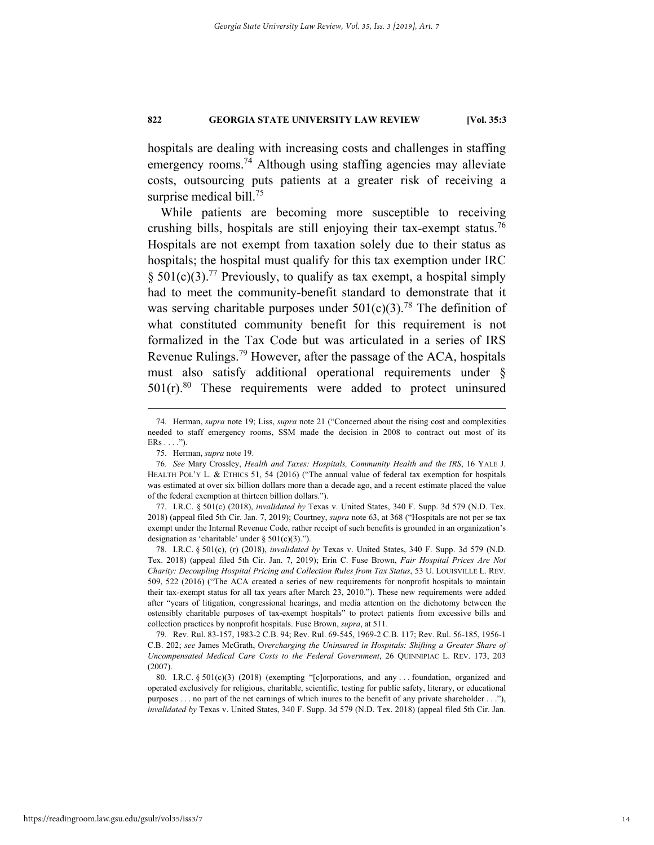hospitals are dealing with increasing costs and challenges in staffing emergency rooms.<sup>74</sup> Although using staffing agencies may alleviate costs, outsourcing puts patients at a greater risk of receiving a surprise medical bill.<sup>75</sup>

While patients are becoming more susceptible to receiving crushing bills, hospitals are still enjoying their tax-exempt status.<sup>76</sup> Hospitals are not exempt from taxation solely due to their status as hospitals; the hospital must qualify for this tax exemption under IRC § 501(c)(3).<sup>77</sup> Previously, to qualify as tax exempt, a hospital simply had to meet the community-benefit standard to demonstrate that it was serving charitable purposes under  $501(c)(3)$ .<sup>78</sup> The definition of what constituted community benefit for this requirement is not formalized in the Tax Code but was articulated in a series of IRS Revenue Rulings.<sup>79</sup> However, after the passage of the ACA, hospitals must also satisfy additional operational requirements under §  $501(r).$ <sup>80</sup> These requirements were added to protect uninsured

 <sup>74.</sup> Herman, *supra* note 19; Liss, *supra* note 21 ("Concerned about the rising cost and complexities needed to staff emergency rooms, SSM made the decision in 2008 to contract out most of its  $ERs \ldots$ ").

 <sup>75.</sup> Herman, *supra* note 19.

<sup>76</sup>*. See* Mary Crossley, *Health and Taxes: Hospitals, Community Health and the IRS*, 16 YALE J. HEALTH POL'Y L. & ETHICS 51, 54 (2016) ("The annual value of federal tax exemption for hospitals was estimated at over six billion dollars more than a decade ago, and a recent estimate placed the value of the federal exemption at thirteen billion dollars.").

 <sup>77.</sup> I.R.C. § 501(c) (2018), *invalidated by* Texas v. United States, 340 F. Supp. 3d 579 (N.D. Tex. 2018) (appeal filed 5th Cir. Jan. 7, 2019); Courtney, *supra* note 63, at 368 ("Hospitals are not per se tax exempt under the Internal Revenue Code, rather receipt of such benefits is grounded in an organization's designation as 'charitable' under  $\S 501(c)(3)$ .").

 <sup>78.</sup> I.R.C. § 501(c), (r) (2018), *invalidated by* Texas v. United States, 340 F. Supp. 3d 579 (N.D. Tex. 2018) (appeal filed 5th Cir. Jan. 7, 2019); Erin C. Fuse Brown, *Fair Hospital Prices Are Not Charity: Decoupling Hospital Pricing and Collection Rules from Tax Status*, 53 U. LOUISVILLE L. REV. 509, 522 (2016) ("The ACA created a series of new requirements for nonprofit hospitals to maintain their tax-exempt status for all tax years after March 23, 2010."). These new requirements were added after "years of litigation, congressional hearings, and media attention on the dichotomy between the ostensibly charitable purposes of tax-exempt hospitals" to protect patients from excessive bills and collection practices by nonprofit hospitals. Fuse Brown, *supra*, at 511.

 <sup>79.</sup> Rev. Rul. 83-157, 1983-2 C.B. 94; Rev. Rul. 69-545, 1969-2 C.B. 117; Rev. Rul. 56-185, 1956-1 C.B. 202; *see* James McGrath, O*vercharging the Uninsured in Hospitals: Shifting a Greater Share of Uncompensated Medical Care Costs to the Federal Government*, 26 QUINNIPIAC L. REV. 173, 203 (2007).

 <sup>80.</sup> I.R.C. § 501(c)(3) (2018) (exempting "[c]orporations, and any . . . foundation, organized and operated exclusively for religious, charitable, scientific, testing for public safety, literary, or educational purposes . . . no part of the net earnings of which inures to the benefit of any private shareholder . . ."), *invalidated by* Texas v. United States, 340 F. Supp. 3d 579 (N.D. Tex. 2018) (appeal filed 5th Cir. Jan.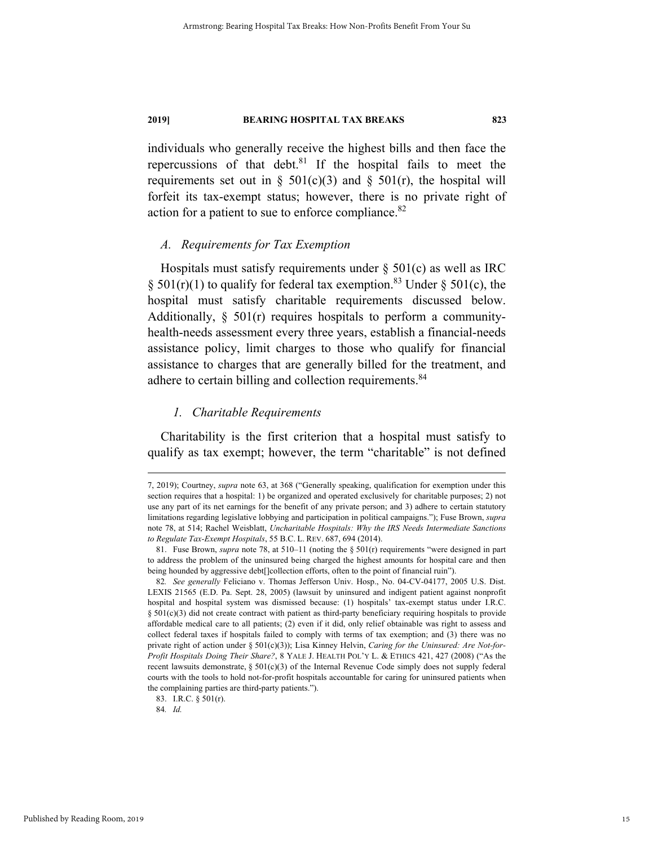individuals who generally receive the highest bills and then face the repercussions of that debt. $81$  If the hospital fails to meet the requirements set out in §  $501(c)(3)$  and §  $501(r)$ , the hospital will forfeit its tax-exempt status; however, there is no private right of action for a patient to sue to enforce compliance.<sup>82</sup>

#### *A. Requirements for Tax Exemption*

Hospitals must satisfy requirements under  $\S$  501(c) as well as IRC § 501(r)(1) to qualify for federal tax exemption.<sup>83</sup> Under § 501(c), the hospital must satisfy charitable requirements discussed below. Additionally,  $\S$  501(r) requires hospitals to perform a communityhealth-needs assessment every three years, establish a financial-needs assistance policy, limit charges to those who qualify for financial assistance to charges that are generally billed for the treatment, and adhere to certain billing and collection requirements.<sup>84</sup>

#### *1. Charitable Requirements*

Charitability is the first criterion that a hospital must satisfy to qualify as tax exempt; however, the term "charitable" is not defined

84*. Id.*

 <sup>7, 2019);</sup> Courtney, *supra* note 63, at 368 ("Generally speaking, qualification for exemption under this section requires that a hospital: 1) be organized and operated exclusively for charitable purposes; 2) not use any part of its net earnings for the benefit of any private person; and 3) adhere to certain statutory limitations regarding legislative lobbying and participation in political campaigns."); Fuse Brown, *supra*  note 78, at 514; Rachel Weisblatt, *Uncharitable Hospitals: Why the IRS Needs Intermediate Sanctions to Regulate Tax-Exempt Hospitals*, 55 B.C. L. REV. 687, 694 (2014).

 <sup>81.</sup> Fuse Brown, *supra* note 78, at 510–11 (noting the § 501(r) requirements "were designed in part to address the problem of the uninsured being charged the highest amounts for hospital care and then being hounded by aggressive debt[]collection efforts, often to the point of financial ruin").

<sup>82</sup>*. See generally* Feliciano v. Thomas Jefferson Univ. Hosp., No. 04-CV-04177, 2005 U.S. Dist. LEXIS 21565 (E.D. Pa. Sept. 28, 2005) (lawsuit by uninsured and indigent patient against nonprofit hospital and hospital system was dismissed because: (1) hospitals' tax-exempt status under I.R.C.  $§$  501(c)(3) did not create contract with patient as third-party beneficiary requiring hospitals to provide affordable medical care to all patients; (2) even if it did, only relief obtainable was right to assess and collect federal taxes if hospitals failed to comply with terms of tax exemption; and (3) there was no private right of action under § 501(c)(3)); Lisa Kinney Helvin, *Caring for the Uninsured: Are Not-for-Profit Hospitals Doing Their Share?*, 8 YALE J. HEALTH POL'Y L. & ETHICS 421, 427 (2008) ("As the recent lawsuits demonstrate, § 501(c)(3) of the Internal Revenue Code simply does not supply federal courts with the tools to hold not-for-profit hospitals accountable for caring for uninsured patients when the complaining parties are third-party patients.").

 <sup>83.</sup> I.R.C. § 501(r).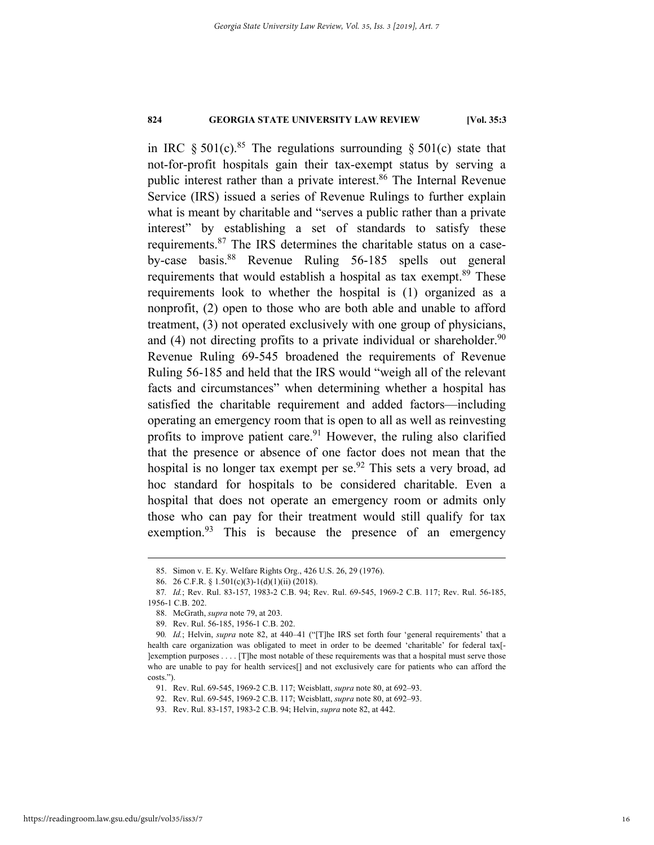in IRC § 501(c).<sup>85</sup> The regulations surrounding § 501(c) state that not-for-profit hospitals gain their tax-exempt status by serving a public interest rather than a private interest.<sup>86</sup> The Internal Revenue Service (IRS) issued a series of Revenue Rulings to further explain what is meant by charitable and "serves a public rather than a private interest" by establishing a set of standards to satisfy these requirements.87 The IRS determines the charitable status on a caseby-case basis.88 Revenue Ruling 56-185 spells out general requirements that would establish a hospital as tax exempt.<sup>89</sup> These requirements look to whether the hospital is (1) organized as a nonprofit, (2) open to those who are both able and unable to afford treatment, (3) not operated exclusively with one group of physicians, and (4) not directing profits to a private individual or shareholder.<sup>90</sup> Revenue Ruling 69-545 broadened the requirements of Revenue Ruling 56-185 and held that the IRS would "weigh all of the relevant facts and circumstances" when determining whether a hospital has satisfied the charitable requirement and added factors—including operating an emergency room that is open to all as well as reinvesting profits to improve patient care. $91$  However, the ruling also clarified that the presence or absence of one factor does not mean that the hospital is no longer tax exempt per se.<sup>92</sup> This sets a very broad, ad hoc standard for hospitals to be considered charitable. Even a hospital that does not operate an emergency room or admits only those who can pay for their treatment would still qualify for tax exemption.<sup>93</sup> This is because the presence of an emergency

 <sup>85.</sup> Simon v. E. Ky. Welfare Rights Org., 426 U.S. 26, 29 (1976).

 <sup>86. 26</sup> C.F.R. § 1.501(c)(3)-1(d)(1)(ii) (2018).

<sup>87</sup>*. Id.*; Rev. Rul. 83-157, 1983-2 C.B. 94; Rev. Rul. 69-545, 1969-2 C.B. 117; Rev. Rul. 56-185, 1956-1 C.B. 202.

 <sup>88.</sup> McGrath, *supra* note 79, at 203.

 <sup>89.</sup> Rev. Rul. 56-185, 1956-1 C.B. 202.

<sup>90</sup>*. Id.*; Helvin, *supra* note 82, at 440–41 ("[T]he IRS set forth four 'general requirements' that a health care organization was obligated to meet in order to be deemed 'charitable' for federal tax[- ]exemption purposes . . . . [T]he most notable of these requirements was that a hospital must serve those who are unable to pay for health services[] and not exclusively care for patients who can afford the costs.").

 <sup>91.</sup> Rev. Rul. 69-545, 1969-2 C.B. 117; Weisblatt, *supra* note 80, at 692–93.

 <sup>92.</sup> Rev. Rul. 69-545, 1969-2 C.B. 117; Weisblatt, *supra* note 80, at 692–93.

 <sup>93.</sup> Rev. Rul. 83-157, 1983-2 C.B. 94; Helvin, *supra* note 82, at 442.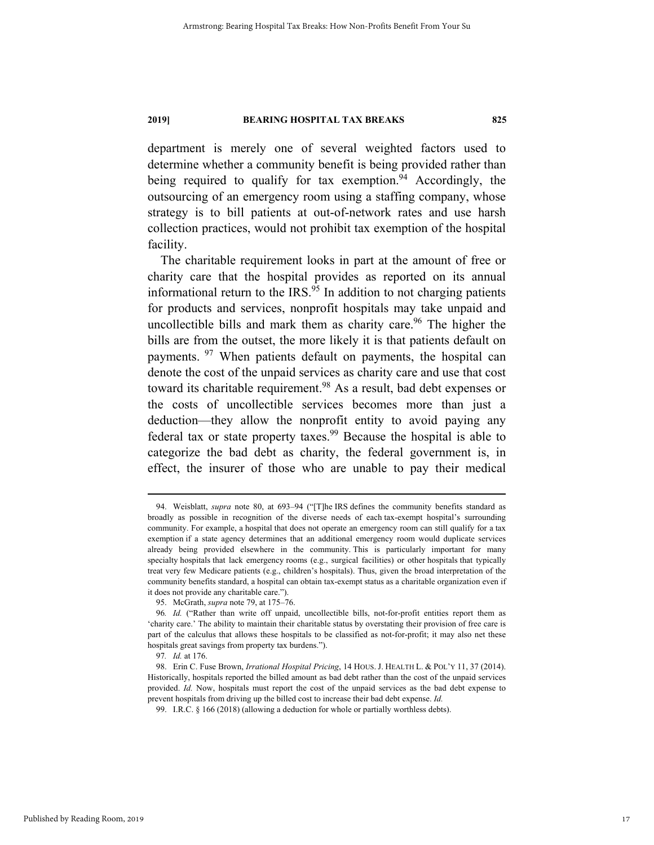department is merely one of several weighted factors used to determine whether a community benefit is being provided rather than being required to qualify for tax exemption.<sup>94</sup> Accordingly, the outsourcing of an emergency room using a staffing company, whose strategy is to bill patients at out-of-network rates and use harsh collection practices, would not prohibit tax exemption of the hospital facility.

The charitable requirement looks in part at the amount of free or charity care that the hospital provides as reported on its annual informational return to the IRS.<sup>95</sup> In addition to not charging patients for products and services, nonprofit hospitals may take unpaid and uncollectible bills and mark them as charity care.<sup>96</sup> The higher the bills are from the outset, the more likely it is that patients default on payments. <sup>97</sup> When patients default on payments, the hospital can denote the cost of the unpaid services as charity care and use that cost toward its charitable requirement.<sup>98</sup> As a result, bad debt expenses or the costs of uncollectible services becomes more than just a deduction—they allow the nonprofit entity to avoid paying any federal tax or state property taxes.<sup>99</sup> Because the hospital is able to categorize the bad debt as charity, the federal government is, in effect, the insurer of those who are unable to pay their medical

 <sup>94.</sup> Weisblatt, *supra* note 80, at 693–94 ("[T]he IRS defines the community benefits standard as broadly as possible in recognition of the diverse needs of each tax-exempt hospital's surrounding community. For example, a hospital that does not operate an emergency room can still qualify for a tax exemption if a state agency determines that an additional emergency room would duplicate services already being provided elsewhere in the community. This is particularly important for many specialty hospitals that lack emergency rooms (e.g., surgical facilities) or other hospitals that typically treat very few Medicare patients (e.g., children's hospitals). Thus, given the broad interpretation of the community benefits standard, a hospital can obtain tax-exempt status as a charitable organization even if it does not provide any charitable care.").

 <sup>95.</sup> McGrath, *supra* note 79, at 175–76.

<sup>96</sup>*. Id.* ("Rather than write off unpaid, uncollectible bills, not-for-profit entities report them as 'charity care.' The ability to maintain their charitable status by overstating their provision of free care is part of the calculus that allows these hospitals to be classified as not-for-profit; it may also net these hospitals great savings from property tax burdens.").

<sup>97</sup>*. Id.* at 176.

 <sup>98.</sup> Erin C. Fuse Brown, *Irrational Hospital Pricing*, 14 HOUS. J. HEALTH L. & POL'Y 11, 37 (2014). Historically, hospitals reported the billed amount as bad debt rather than the cost of the unpaid services provided. *Id.* Now, hospitals must report the cost of the unpaid services as the bad debt expense to prevent hospitals from driving up the billed cost to increase their bad debt expense. *Id.*

 <sup>99.</sup> I.R.C. § 166 (2018) (allowing a deduction for whole or partially worthless debts).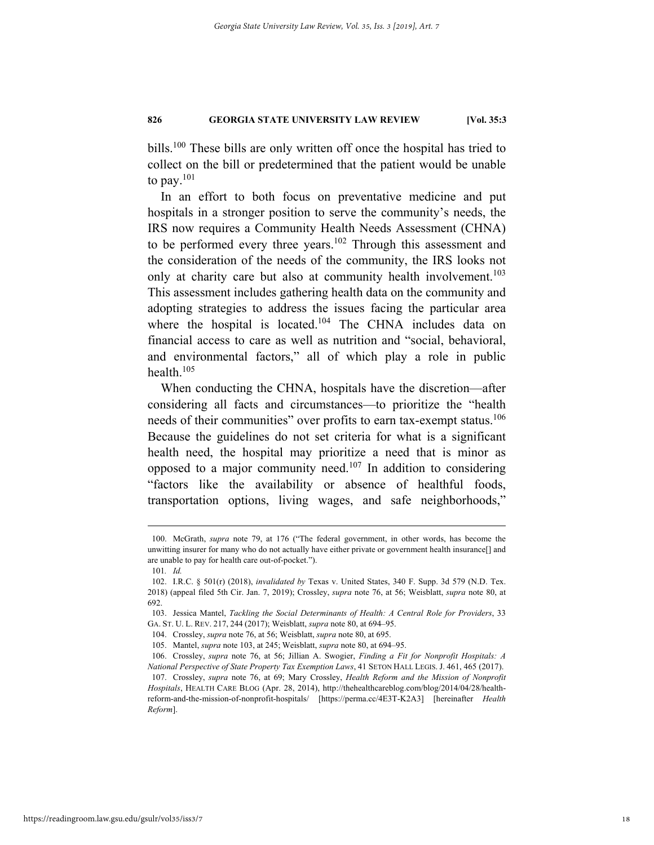bills.100 These bills are only written off once the hospital has tried to collect on the bill or predetermined that the patient would be unable to pay. $^{101}$ 

In an effort to both focus on preventative medicine and put hospitals in a stronger position to serve the community's needs, the IRS now requires a Community Health Needs Assessment (CHNA) to be performed every three years.<sup>102</sup> Through this assessment and the consideration of the needs of the community, the IRS looks not only at charity care but also at community health involvement.<sup>103</sup> This assessment includes gathering health data on the community and adopting strategies to address the issues facing the particular area where the hospital is located.<sup>104</sup> The CHNA includes data on financial access to care as well as nutrition and "social, behavioral, and environmental factors," all of which play a role in public health.105

When conducting the CHNA, hospitals have the discretion—after considering all facts and circumstances—to prioritize the "health needs of their communities" over profits to earn tax-exempt status.<sup>106</sup> Because the guidelines do not set criteria for what is a significant health need, the hospital may prioritize a need that is minor as opposed to a major community need.107 In addition to considering "factors like the availability or absence of healthful foods, transportation options, living wages, and safe neighborhoods,"

 <sup>100.</sup> McGrath, *supra* note 79, at 176 ("The federal government, in other words, has become the unwitting insurer for many who do not actually have either private or government health insurance[] and are unable to pay for health care out-of-pocket.").

<sup>101</sup>*. Id.*

 <sup>102.</sup> I.R.C. § 501(r) (2018), *invalidated by* Texas v. United States, 340 F. Supp. 3d 579 (N.D. Tex. 2018) (appeal filed 5th Cir. Jan. 7, 2019); Crossley, *supra* note 76, at 56; Weisblatt, *supra* note 80, at 692.

 <sup>103.</sup> Jessica Mantel, *Tackling the Social Determinants of Health: A Central Role for Providers*, 33 GA. ST. U. L. REV. 217, 244 (2017); Weisblatt, *supra* note 80, at 694–95.

 <sup>104.</sup> Crossley, *supra* note 76, at 56; Weisblatt, *supra* note 80, at 695.

 <sup>105.</sup> Mantel, *supra* note 103, at 245; Weisblatt, *supra* note 80, at 694–95.

 <sup>106.</sup> Crossley, *supra* note 76, at 56; Jillian A. Swogier, *Finding a Fit for Nonprofit Hospitals: A National Perspective of State Property Tax Exemption Laws*, 41 SETON HALL LEGIS. J. 461, 465 (2017). 107. Crossley, *supra* note 76, at 69; Mary Crossley, *Health Reform and the Mission of Nonprofit Hospitals*, HEALTH CARE BLOG (Apr. 28, 2014), http://thehealthcareblog.com/blog/2014/04/28/health-

reform-and-the-mission-of-nonprofit-hospitals/ [https://perma.cc/4E3T-K2A3] [hereinafter *Health Reform*].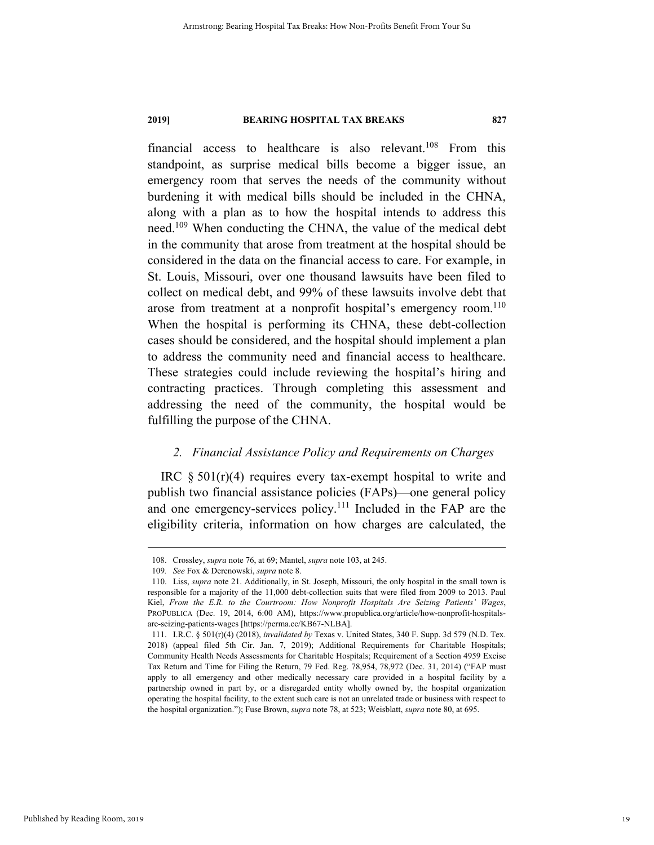financial access to healthcare is also relevant.<sup>108</sup> From this standpoint, as surprise medical bills become a bigger issue, an emergency room that serves the needs of the community without burdening it with medical bills should be included in the CHNA, along with a plan as to how the hospital intends to address this need.<sup>109</sup> When conducting the CHNA, the value of the medical debt in the community that arose from treatment at the hospital should be considered in the data on the financial access to care. For example, in St. Louis, Missouri, over one thousand lawsuits have been filed to collect on medical debt, and 99% of these lawsuits involve debt that arose from treatment at a nonprofit hospital's emergency room.<sup>110</sup> When the hospital is performing its CHNA, these debt-collection cases should be considered, and the hospital should implement a plan to address the community need and financial access to healthcare. These strategies could include reviewing the hospital's hiring and contracting practices. Through completing this assessment and addressing the need of the community, the hospital would be fulfilling the purpose of the CHNA.

#### *2. Financial Assistance Policy and Requirements on Charges*

IRC  $\S 501(r)(4)$  requires every tax-exempt hospital to write and publish two financial assistance policies (FAPs)—one general policy and one emergency-services policy.<sup>111</sup> Included in the FAP are the eligibility criteria, information on how charges are calculated, the

 <sup>108.</sup> Crossley, *supra* note 76, at 69; Mantel, *supra* note 103, at 245.

<sup>109</sup>*. See* Fox & Derenowski, *supra* note 8.

 <sup>110.</sup> Liss, *supra* note 21. Additionally, in St. Joseph, Missouri, the only hospital in the small town is responsible for a majority of the 11,000 debt-collection suits that were filed from 2009 to 2013. Paul Kiel, *From the E.R. to the Courtroom: How Nonprofit Hospitals Are Seizing Patients' Wages*, PROPUBLICA (Dec. 19, 2014, 6:00 AM), https://www.propublica.org/article/how-nonprofit-hospitalsare-seizing-patients-wages [https://perma.cc/KB67-NLBA].

 <sup>111.</sup> I.R.C. § 501(r)(4) (2018), *invalidated by* Texas v. United States, 340 F. Supp. 3d 579 (N.D. Tex. 2018) (appeal filed 5th Cir. Jan. 7, 2019); Additional Requirements for Charitable Hospitals; Community Health Needs Assessments for Charitable Hospitals; Requirement of a Section 4959 Excise Tax Return and Time for Filing the Return, 79 Fed. Reg. 78,954, 78,972 (Dec. 31, 2014) ("FAP must apply to all emergency and other medically necessary care provided in a hospital facility by a partnership owned in part by, or a disregarded entity wholly owned by, the hospital organization operating the hospital facility, to the extent such care is not an unrelated trade or business with respect to the hospital organization."); Fuse Brown, *supra* note 78, at 523; Weisblatt, *supra* note 80, at 695.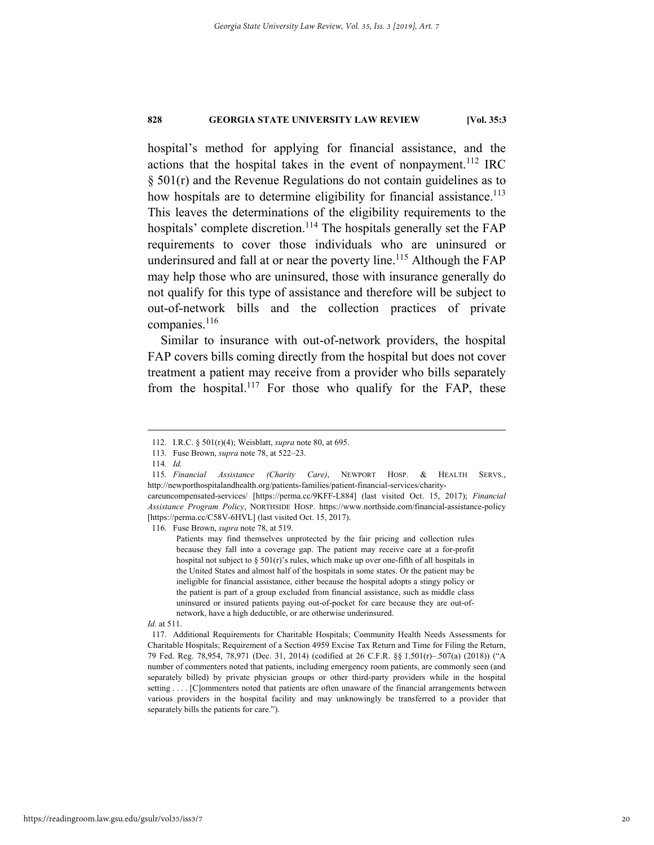hospital's method for applying for financial assistance, and the actions that the hospital takes in the event of nonpayment.<sup>112</sup> IRC § 501(r) and the Revenue Regulations do not contain guidelines as to how hospitals are to determine eligibility for financial assistance.<sup>113</sup> This leaves the determinations of the eligibility requirements to the hospitals' complete discretion.<sup>114</sup> The hospitals generally set the FAP requirements to cover those individuals who are uninsured or underinsured and fall at or near the poverty line.<sup>115</sup> Although the  $FAP$ may help those who are uninsured, those with insurance generally do not qualify for this type of assistance and therefore will be subject to out-of-network bills and the collection practices of private companies.<sup>116</sup>

Similar to insurance with out-of-network providers, the hospital FAP covers bills coming directly from the hospital but does not cover treatment a patient may receive from a provider who bills separately from the hospital.<sup>117</sup> For those who qualify for the FAP, these

116. Fuse Brown, *supra* note 78, at 519.

#### *Id.* at 511.

 <sup>112.</sup> I.R.C. § 501(r)(4); Weisblatt, *supra* note 80, at 695.

 <sup>113.</sup> Fuse Brown, *supra* note 78, at 522–23.

<sup>114</sup>*. Id.*

<sup>115</sup>*. Financial Assistance (Charity Care)*, NEWPORT HOSP. & HEALTH SERVS., http://newporthospitalandhealth.org/patients-families/patient-financial-services/charity-

careuncompensated-services/ [https://perma.cc/9KFF-L884] (last visited Oct. 15, 2017); *Financial Assistance Program Policy*, NORTHSIDE HOSP. https://www.northside.com/financial-assistance-policy [https://perma.cc/C58V-6HVL] (last visited Oct. 15, 2017).

Patients may find themselves unprotected by the fair pricing and collection rules because they fall into a coverage gap. The patient may receive care at a for-profit hospital not subject to  $\S 501(r)$ 's rules, which make up over one-fifth of all hospitals in the United States and almost half of the hospitals in some states. Or the patient may be ineligible for financial assistance, either because the hospital adopts a stingy policy or the patient is part of a group excluded from financial assistance, such as middle class uninsured or insured patients paying out-of-pocket for care because they are out-ofnetwork, have a high deductible, or are otherwise underinsured.

 <sup>117.</sup> Additional Requirements for Charitable Hospitals; Community Health Needs Assessments for Charitable Hospitals; Requirement of a Section 4959 Excise Tax Return and Time for Filing the Return, 79 Fed. Reg. 78,954, 78,971 (Dec. 31, 2014) (codified at 26 C.F.R. §§ 1.501(r)–.507(a) (2018)) ("A number of commenters noted that patients, including emergency room patients, are commonly seen (and separately billed) by private physician groups or other third-party providers while in the hospital setting . . . . [C]ommenters noted that patients are often unaware of the financial arrangements between various providers in the hospital facility and may unknowingly be transferred to a provider that separately bills the patients for care.").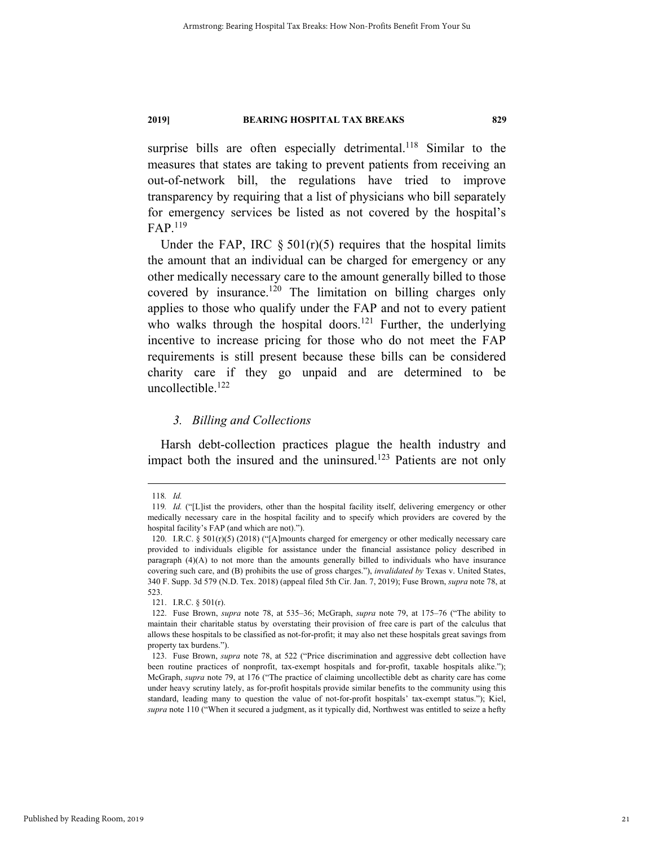surprise bills are often especially detrimental.<sup>118</sup> Similar to the measures that states are taking to prevent patients from receiving an out-of-network bill, the regulations have tried to improve transparency by requiring that a list of physicians who bill separately for emergency services be listed as not covered by the hospital's FAP.<sup>119</sup>

Under the FAP, IRC  $\S 501(r)(5)$  requires that the hospital limits the amount that an individual can be charged for emergency or any other medically necessary care to the amount generally billed to those covered by insurance.<sup>120</sup> The limitation on billing charges only applies to those who qualify under the FAP and not to every patient who walks through the hospital doors.<sup>121</sup> Further, the underlying incentive to increase pricing for those who do not meet the FAP requirements is still present because these bills can be considered charity care if they go unpaid and are determined to be uncollectible.<sup>122</sup>

#### *3. Billing and Collections*

Harsh debt-collection practices plague the health industry and impact both the insured and the uninsured.<sup>123</sup> Patients are not only

 <sup>118</sup>*. Id.*

<sup>119</sup>*. Id.* ("[L]ist the providers, other than the hospital facility itself, delivering emergency or other medically necessary care in the hospital facility and to specify which providers are covered by the hospital facility's FAP (and which are not).").

 <sup>120.</sup> I.R.C. § 501(r)(5) (2018) ("[A]mounts charged for emergency or other medically necessary care provided to individuals eligible for assistance under the financial assistance policy described in paragraph (4)(A) to not more than the amounts generally billed to individuals who have insurance covering such care, and (B) prohibits the use of gross charges."), *invalidated by* Texas v. United States, 340 F. Supp. 3d 579 (N.D. Tex. 2018) (appeal filed 5th Cir. Jan. 7, 2019); Fuse Brown, *supra* note 78, at 523.

 <sup>121.</sup> I.R.C. § 501(r).

 <sup>122.</sup> Fuse Brown, *supra* note 78, at 535–36; McGraph, *supra* note 79, at 175–76 ("The ability to maintain their charitable status by overstating their provision of free care is part of the calculus that allows these hospitals to be classified as not-for-profit; it may also net these hospitals great savings from property tax burdens.").

 <sup>123.</sup> Fuse Brown, *supra* note 78, at 522 ("Price discrimination and aggressive debt collection have been routine practices of nonprofit, tax-exempt hospitals and for-profit, taxable hospitals alike."); McGraph, *supra* note 79, at 176 ("The practice of claiming uncollectible debt as charity care has come under heavy scrutiny lately, as for-profit hospitals provide similar benefits to the community using this standard, leading many to question the value of not-for-profit hospitals' tax-exempt status."); Kiel, *supra* note 110 ("When it secured a judgment, as it typically did, Northwest was entitled to seize a hefty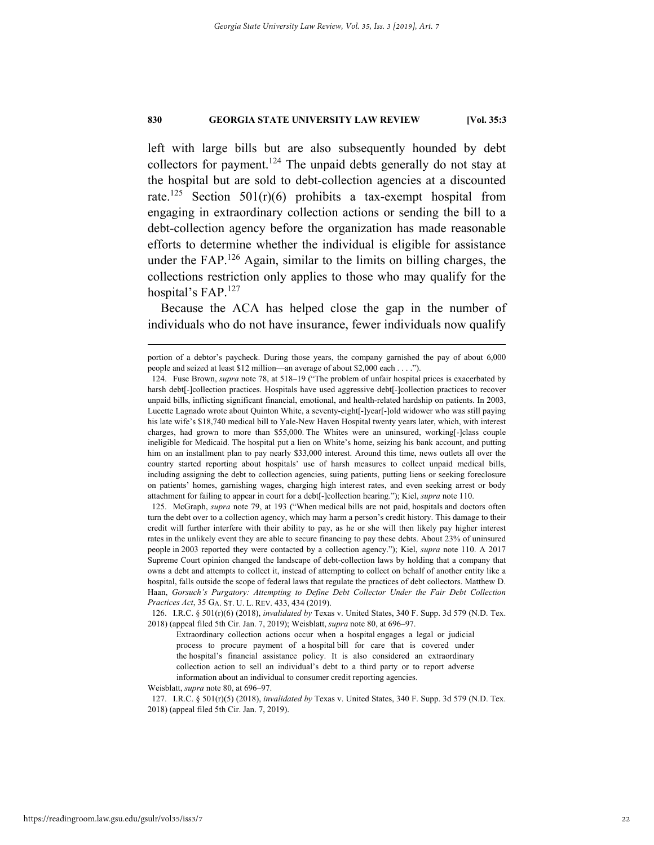left with large bills but are also subsequently hounded by debt collectors for payment.<sup>124</sup> The unpaid debts generally do not stay at the hospital but are sold to debt-collection agencies at a discounted rate.<sup>125</sup> Section 501(r)(6) prohibits a tax-exempt hospital from engaging in extraordinary collection actions or sending the bill to a debt-collection agency before the organization has made reasonable efforts to determine whether the individual is eligible for assistance under the FAP.<sup>126</sup> Again, similar to the limits on billing charges, the collections restriction only applies to those who may qualify for the hospital's FAP.<sup>127</sup>

Because the ACA has helped close the gap in the number of individuals who do not have insurance, fewer individuals now qualify

Weisblatt, *supra* note 80, at 696–97.

portion of a debtor's paycheck. During those years, the company garnished the pay of about 6,000 people and seized at least \$12 million—an average of about \$2,000 each . . . .").

 <sup>124.</sup> Fuse Brown, *supra* note 78, at 518–19 ("The problem of unfair hospital prices is exacerbated by harsh debt[-]collection practices. Hospitals have used aggressive debt[-]collection practices to recover unpaid bills, inflicting significant financial, emotional, and health-related hardship on patients. In 2003, Lucette Lagnado wrote about Quinton White, a seventy-eight[-]year[-]old widower who was still paying his late wife's \$18,740 medical bill to Yale-New Haven Hospital twenty years later, which, with interest charges, had grown to more than \$55,000. The Whites were an uninsured, working[-]class couple ineligible for Medicaid. The hospital put a lien on White's home, seizing his bank account, and putting him on an installment plan to pay nearly \$33,000 interest. Around this time, news outlets all over the country started reporting about hospitals' use of harsh measures to collect unpaid medical bills, including assigning the debt to collection agencies, suing patients, putting liens or seeking foreclosure on patients' homes, garnishing wages, charging high interest rates, and even seeking arrest or body attachment for failing to appear in court for a debt[-]collection hearing."); Kiel, *supra* note 110.

 <sup>125.</sup> McGraph, *supra* note 79, at 193 ("When medical bills are not paid, hospitals and doctors often turn the debt over to a collection agency, which may harm a person's credit history. This damage to their credit will further interfere with their ability to pay, as he or she will then likely pay higher interest rates in the unlikely event they are able to secure financing to pay these debts. About 23% of uninsured people in 2003 reported they were contacted by a collection agency."); Kiel, *supra* note 110. A 2017 Supreme Court opinion changed the landscape of debt-collection laws by holding that a company that owns a debt and attempts to collect it, instead of attempting to collect on behalf of another entity like a hospital, falls outside the scope of federal laws that regulate the practices of debt collectors. Matthew D. Haan, *Gorsuch's Purgatory: Attempting to Define Debt Collector Under the Fair Debt Collection Practices Act*, 35 GA. ST. U. L. REV. 433, 434 (2019).

 <sup>126.</sup> I.R.C. § 501(r)(6) (2018), *invalidated by* Texas v. United States, 340 F. Supp. 3d 579 (N.D. Tex. 2018) (appeal filed 5th Cir. Jan. 7, 2019); Weisblatt, *supra* note 80, at 696–97.

Extraordinary collection actions occur when a hospital engages a legal or judicial process to procure payment of a hospital bill for care that is covered under the hospital's financial assistance policy. It is also considered an extraordinary collection action to sell an individual's debt to a third party or to report adverse information about an individual to consumer credit reporting agencies.

 <sup>127.</sup> I.R.C. § 501(r)(5) (2018), *invalidated by* Texas v. United States, 340 F. Supp. 3d 579 (N.D. Tex. 2018) (appeal filed 5th Cir. Jan. 7, 2019).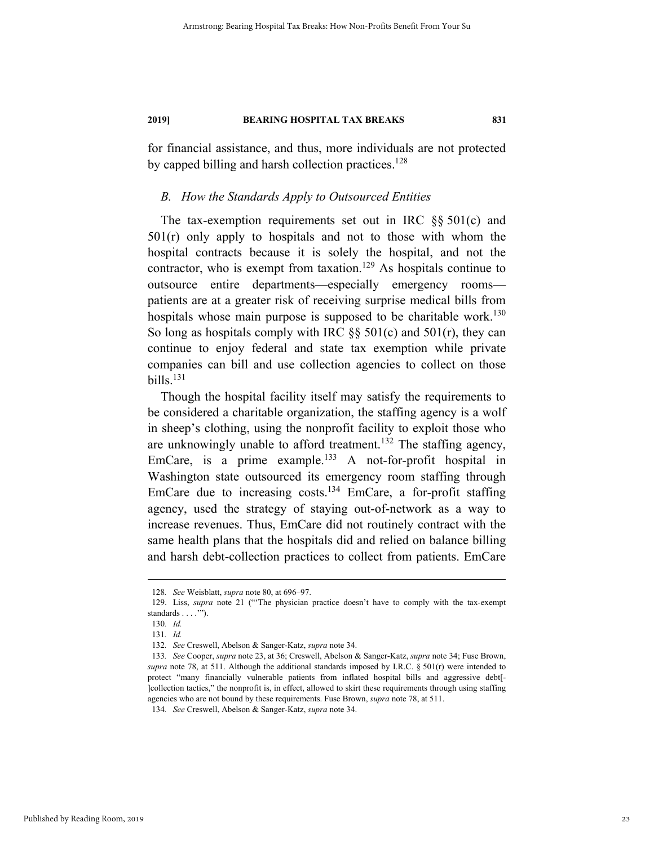for financial assistance, and thus, more individuals are not protected by capped billing and harsh collection practices.<sup>128</sup>

#### *B. How the Standards Apply to Outsourced Entities*

The tax-exemption requirements set out in IRC §§ 501(c) and 501(r) only apply to hospitals and not to those with whom the hospital contracts because it is solely the hospital, and not the contractor, who is exempt from taxation.<sup>129</sup> As hospitals continue to outsource entire departments—especially emergency rooms patients are at a greater risk of receiving surprise medical bills from hospitals whose main purpose is supposed to be charitable work.<sup>130</sup> So long as hospitals comply with IRC  $\S$ § 501(c) and 501(r), they can continue to enjoy federal and state tax exemption while private companies can bill and use collection agencies to collect on those  $b$ ills.<sup>131</sup>

Though the hospital facility itself may satisfy the requirements to be considered a charitable organization, the staffing agency is a wolf in sheep's clothing, using the nonprofit facility to exploit those who are unknowingly unable to afford treatment.<sup>132</sup> The staffing agency, EmCare, is a prime example.<sup>133</sup> A not-for-profit hospital in Washington state outsourced its emergency room staffing through EmCare due to increasing costs.<sup>134</sup> EmCare, a for-profit staffing agency, used the strategy of staying out-of-network as a way to increase revenues. Thus, EmCare did not routinely contract with the same health plans that the hospitals did and relied on balance billing and harsh debt-collection practices to collect from patients. EmCare

 <sup>128</sup>*. See* Weisblatt, *supra* note 80, at 696–97.

 <sup>129.</sup> Liss, *supra* note 21 ("'The physician practice doesn't have to comply with the tax-exempt standards . . . .'").

<sup>130</sup>*. Id.*

<sup>131</sup>*. Id.*

<sup>132</sup>*. See* Creswell, Abelson & Sanger-Katz, *supra* note 34.

<sup>133</sup>*. See* Cooper, *supra* note 23, at 36; Creswell, Abelson & Sanger-Katz, *supra* note 34; Fuse Brown, *supra* note 78, at 511. Although the additional standards imposed by I.R.C. § 501(r) were intended to protect "many financially vulnerable patients from inflated hospital bills and aggressive debt[- ]collection tactics," the nonprofit is, in effect, allowed to skirt these requirements through using staffing agencies who are not bound by these requirements. Fuse Brown, *supra* note 78, at 511.

<sup>134</sup>*. See* Creswell, Abelson & Sanger-Katz, *supra* note 34.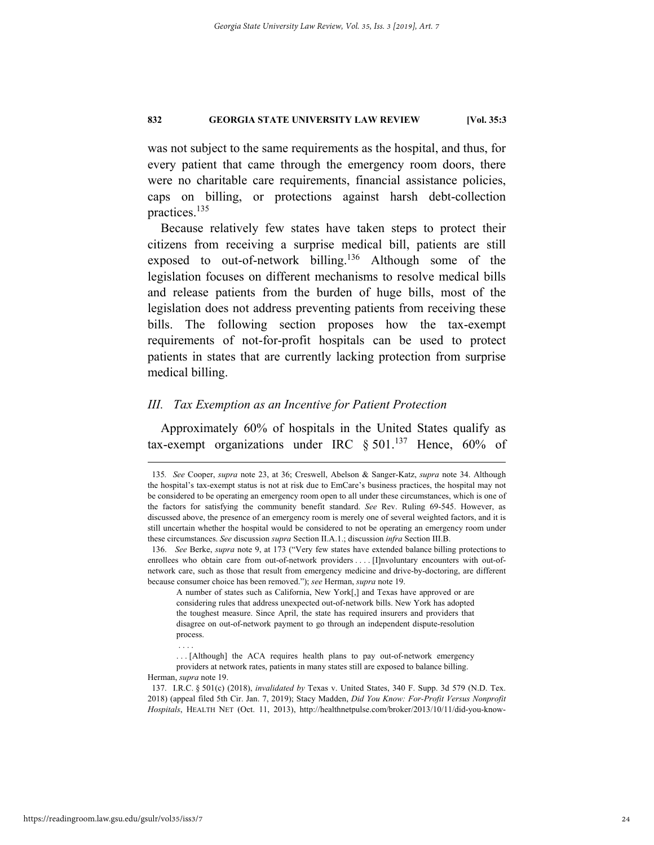was not subject to the same requirements as the hospital, and thus, for every patient that came through the emergency room doors, there were no charitable care requirements, financial assistance policies, caps on billing, or protections against harsh debt-collection practices.135

Because relatively few states have taken steps to protect their citizens from receiving a surprise medical bill, patients are still exposed to out-of-network billing.<sup>136</sup> Although some of the legislation focuses on different mechanisms to resolve medical bills and release patients from the burden of huge bills, most of the legislation does not address preventing patients from receiving these bills. The following section proposes how the tax-exempt requirements of not-for-profit hospitals can be used to protect patients in states that are currently lacking protection from surprise medical billing.

#### *III. Tax Exemption as an Incentive for Patient Protection*

Approximately 60% of hospitals in the United States qualify as tax-exempt organizations under IRC  $\S 501$ .<sup>137</sup> Hence, 60% of

. . . .

 <sup>135</sup>*. See* Cooper, *supra* note 23, at 36; Creswell, Abelson & Sanger-Katz, *supra* note 34. Although the hospital's tax-exempt status is not at risk due to EmCare's business practices, the hospital may not be considered to be operating an emergency room open to all under these circumstances, which is one of the factors for satisfying the community benefit standard. *See* Rev. Ruling 69-545. However, as discussed above, the presence of an emergency room is merely one of several weighted factors, and it is still uncertain whether the hospital would be considered to not be operating an emergency room under these circumstances. *See* discussion *supra* Section II.A.1.; discussion *infra* Section III.B.

 <sup>136.</sup> *See* Berke, *supra* note 9, at 173 ("Very few states have extended balance billing protections to enrollees who obtain care from out-of-network providers . . . . [I]nvoluntary encounters with out-ofnetwork care, such as those that result from emergency medicine and drive-by-doctoring, are different because consumer choice has been removed."); *see* Herman, *supra* note 19.

A number of states such as California, New York[,] and Texas have approved or are considering rules that address unexpected out-of-network bills. New York has adopted the toughest measure. Since April, the state has required insurers and providers that disagree on out-of-network payment to go through an independent dispute-resolution process.

<sup>. . . [</sup>Although] the ACA requires health plans to pay out-of-network emergency providers at network rates, patients in many states still are exposed to balance billing. Herman, *supra* note 19.

 <sup>137.</sup> I.R.C. § 501(c) (2018), *invalidated by* Texas v. United States, 340 F. Supp. 3d 579 (N.D. Tex. 2018) (appeal filed 5th Cir. Jan. 7, 2019); Stacy Madden, *Did You Know: For-Profit Versus Nonprofit Hospitals*, HEALTH NET (Oct. 11, 2013), http://healthnetpulse.com/broker/2013/10/11/did-you-know-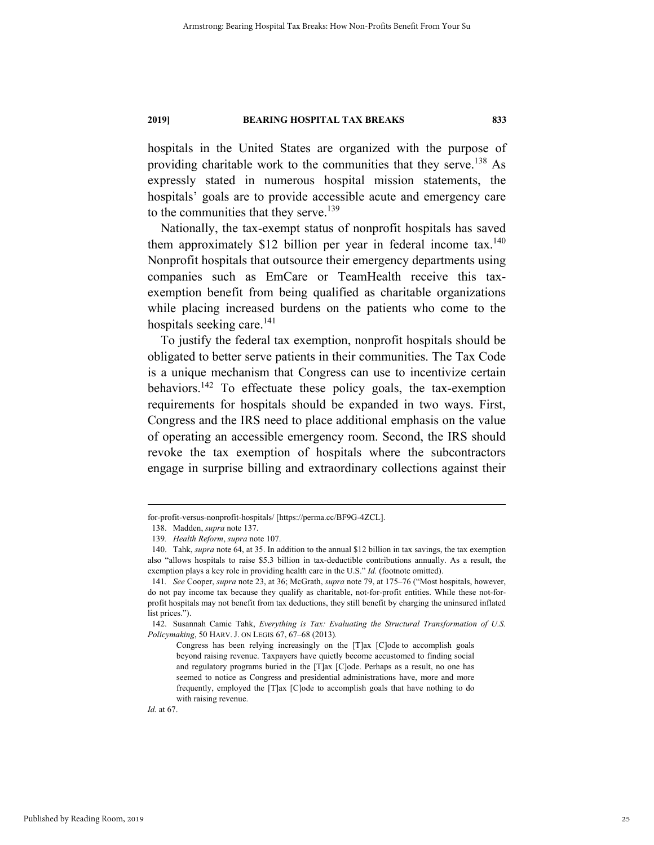hospitals in the United States are organized with the purpose of providing charitable work to the communities that they serve.<sup>138</sup> As expressly stated in numerous hospital mission statements, the hospitals' goals are to provide accessible acute and emergency care to the communities that they serve.<sup>139</sup>

Nationally, the tax-exempt status of nonprofit hospitals has saved them approximately \$12 billion per year in federal income tax.<sup>140</sup> Nonprofit hospitals that outsource their emergency departments using companies such as EmCare or TeamHealth receive this taxexemption benefit from being qualified as charitable organizations while placing increased burdens on the patients who come to the hospitals seeking care. $141$ 

To justify the federal tax exemption, nonprofit hospitals should be obligated to better serve patients in their communities. The Tax Code is a unique mechanism that Congress can use to incentivize certain behaviors.142 To effectuate these policy goals, the tax-exemption requirements for hospitals should be expanded in two ways. First, Congress and the IRS need to place additional emphasis on the value of operating an accessible emergency room. Second, the IRS should revoke the tax exemption of hospitals where the subcontractors engage in surprise billing and extraordinary collections against their

*Id.* at 67.

for-profit-versus-nonprofit-hospitals/ [https://perma.cc/BF9G-4ZCL].

 <sup>138.</sup> Madden, *supra* note 137.

<sup>139</sup>*. Health Reform*, *supra* note 107.

 <sup>140.</sup> Tahk, *supra* note 64, at 35. In addition to the annual \$12 billion in tax savings, the tax exemption also "allows hospitals to raise \$5.3 billion in tax-deductible contributions annually. As a result, the exemption plays a key role in providing health care in the U.S." *Id.* (footnote omitted).

<sup>141</sup>*. See* Cooper, *supra* note 23, at 36; McGrath, *supra* note 79, at 175–76 ("Most hospitals, however, do not pay income tax because they qualify as charitable, not-for-profit entities. While these not-forprofit hospitals may not benefit from tax deductions, they still benefit by charging the uninsured inflated list prices.").

 <sup>142.</sup> Susannah Camic Tahk, *Everything is Tax: Evaluating the Structural Transformation of U.S. Policymaking*, 50 HARV. J. ON LEGIS 67, 67–68 (2013)*.* 

Congress has been relying increasingly on the [T]ax [C]ode to accomplish goals beyond raising revenue. Taxpayers have quietly become accustomed to finding social and regulatory programs buried in the [T]ax [C]ode. Perhaps as a result, no one has seemed to notice as Congress and presidential administrations have, more and more frequently, employed the [T]ax [C]ode to accomplish goals that have nothing to do with raising revenue.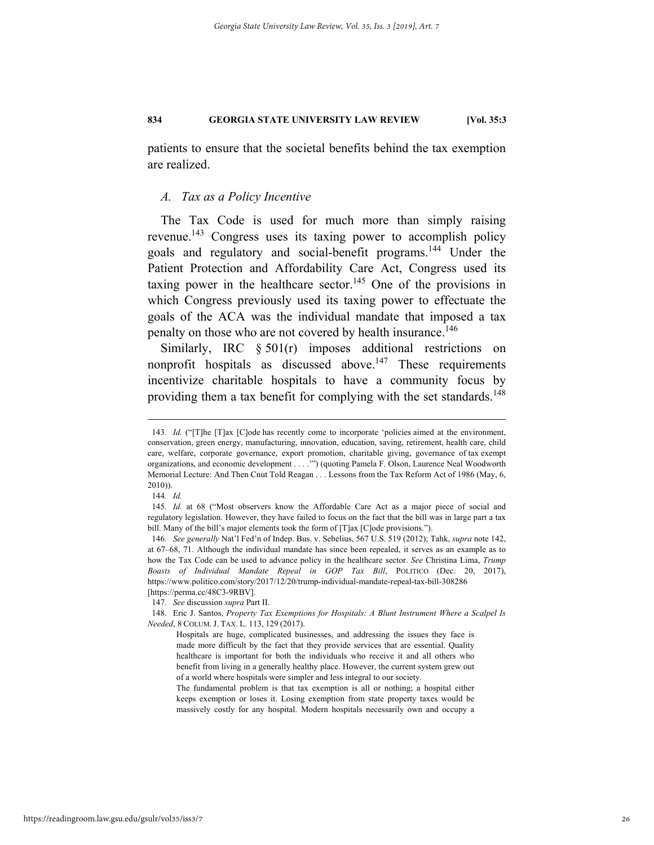patients to ensure that the societal benefits behind the tax exemption are realized.

#### *A. Tax as a Policy Incentive*

The Tax Code is used for much more than simply raising revenue.143 Congress uses its taxing power to accomplish policy goals and regulatory and social-benefit programs.<sup>144</sup> Under the Patient Protection and Affordability Care Act, Congress used its taxing power in the healthcare sector.<sup>145</sup> One of the provisions in which Congress previously used its taxing power to effectuate the goals of the ACA was the individual mandate that imposed a tax penalty on those who are not covered by health insurance.<sup>146</sup>

Similarly, IRC  $\S 501(r)$  imposes additional restrictions on nonprofit hospitals as discussed above.<sup>147</sup> These requirements incentivize charitable hospitals to have a community focus by providing them a tax benefit for complying with the set standards.<sup>148</sup>

 <sup>143</sup>*. Id.* ("[T]he [T]ax [C]ode has recently come to incorporate 'policies aimed at the environment, conservation, green energy, manufacturing, innovation, education, saving, retirement, health care, child care, welfare, corporate governance, export promotion, charitable giving, governance of tax exempt organizations, and economic development . . . .'") (quoting Pamela F. Olson, Laurence Neal Woodworth Memorial Lecture: And Then Cnut Told Reagan . . . Lessons from the Tax Reform Act of 1986 (May, 6, 2010)).

<sup>144</sup>*. Id.*

<sup>145</sup>*. Id.* at 68 ("Most observers know the Affordable Care Act as a major piece of social and regulatory legislation. However, they have failed to focus on the fact that the bill was in large part a tax bill. Many of the bill's major elements took the form of [T]ax [C]ode provisions.").

<sup>146</sup>*. See generally* Nat'l Fed'n of Indep. Bus. v. Sebelius, 567 U.S. 519 (2012); Tahk, *supra* note 142, at 67–68, 71. Although the individual mandate has since been repealed, it serves as an example as to how the Tax Code can be used to advance policy in the healthcare sector. *See* Christina Lima, *Trump Boasts of Individual Mandate Repeal in GOP Tax Bill*, POLITICO (Dec. 20, 2017), https://www.politico.com/story/2017/12/20/trump-individual-mandate-repeal-tax-bill-308286 [https://perma.cc/48C3-9RBV].

<sup>147</sup>*. See* discussion *supra* Part II.

 <sup>148.</sup> Eric J. Santos, *Property Tax Exemptions for Hospitals: A Blunt Instrument Where a Scalpel Is Needed*, 8 COLUM. J. TAX. L. 113, 129 (2017).

Hospitals are huge, complicated businesses, and addressing the issues they face is made more difficult by the fact that they provide services that are essential. Quality healthcare is important for both the individuals who receive it and all others who benefit from living in a generally healthy place. However, the current system grew out of a world where hospitals were simpler and less integral to our society.

The fundamental problem is that tax exemption is all or nothing; a hospital either keeps exemption or loses it. Losing exemption from state property taxes would be massively costly for any hospital. Modern hospitals necessarily own and occupy a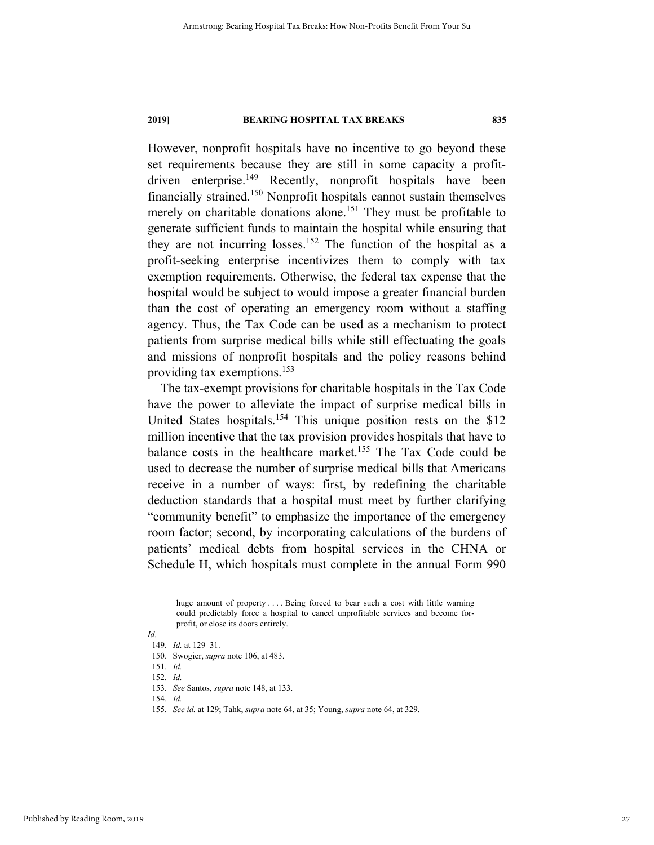However, nonprofit hospitals have no incentive to go beyond these set requirements because they are still in some capacity a profitdriven enterprise.<sup>149</sup> Recently, nonprofit hospitals have been financially strained.150 Nonprofit hospitals cannot sustain themselves merely on charitable donations alone.<sup>151</sup> They must be profitable to generate sufficient funds to maintain the hospital while ensuring that they are not incurring losses.<sup>152</sup> The function of the hospital as a profit-seeking enterprise incentivizes them to comply with tax exemption requirements. Otherwise, the federal tax expense that the hospital would be subject to would impose a greater financial burden than the cost of operating an emergency room without a staffing agency. Thus, the Tax Code can be used as a mechanism to protect patients from surprise medical bills while still effectuating the goals and missions of nonprofit hospitals and the policy reasons behind providing tax exemptions.153

The tax-exempt provisions for charitable hospitals in the Tax Code have the power to alleviate the impact of surprise medical bills in United States hospitals.<sup>154</sup> This unique position rests on the \$12 million incentive that the tax provision provides hospitals that have to balance costs in the healthcare market.<sup>155</sup> The Tax Code could be used to decrease the number of surprise medical bills that Americans receive in a number of ways: first, by redefining the charitable deduction standards that a hospital must meet by further clarifying "community benefit" to emphasize the importance of the emergency room factor; second, by incorporating calculations of the burdens of patients' medical debts from hospital services in the CHNA or Schedule H, which hospitals must complete in the annual Form 990

*Id.* 

huge amount of property .... Being forced to bear such a cost with little warning could predictably force a hospital to cancel unprofitable services and become forprofit, or close its doors entirely.

<sup>149</sup>*. Id.* at 129–31.

 <sup>150.</sup> Swogier, *supra* note 106, at 483.

<sup>151</sup>*. Id.* 152*. Id.*

<sup>153</sup>*. See* Santos, *supra* note 148, at 133.

<sup>154</sup>*. Id.*

<sup>155</sup>*. See id.* at 129; Tahk, *supra* note 64, at 35; Young, *supra* note 64, at 329.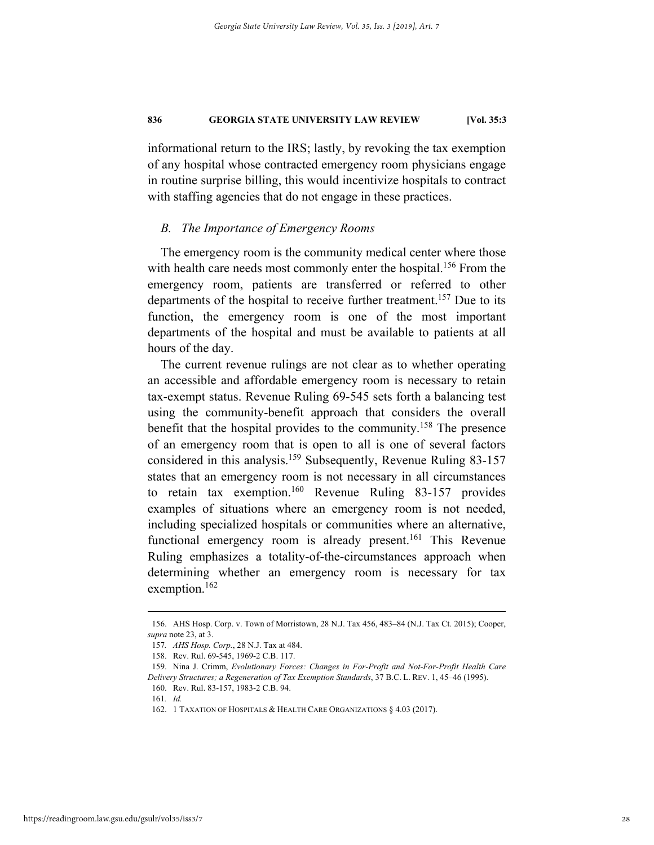informational return to the IRS; lastly, by revoking the tax exemption of any hospital whose contracted emergency room physicians engage in routine surprise billing, this would incentivize hospitals to contract with staffing agencies that do not engage in these practices.

#### *B. The Importance of Emergency Rooms*

The emergency room is the community medical center where those with health care needs most commonly enter the hospital.<sup>156</sup> From the emergency room, patients are transferred or referred to other departments of the hospital to receive further treatment.<sup>157</sup> Due to its function, the emergency room is one of the most important departments of the hospital and must be available to patients at all hours of the day.

The current revenue rulings are not clear as to whether operating an accessible and affordable emergency room is necessary to retain tax-exempt status. Revenue Ruling 69-545 sets forth a balancing test using the community-benefit approach that considers the overall benefit that the hospital provides to the community.<sup>158</sup> The presence of an emergency room that is open to all is one of several factors considered in this analysis.<sup>159</sup> Subsequently, Revenue Ruling 83-157 states that an emergency room is not necessary in all circumstances to retain tax exemption.<sup>160</sup> Revenue Ruling 83-157 provides examples of situations where an emergency room is not needed, including specialized hospitals or communities where an alternative, functional emergency room is already present.<sup>161</sup> This Revenue Ruling emphasizes a totality-of-the-circumstances approach when determining whether an emergency room is necessary for tax exemption.<sup>162</sup>

 <sup>156.</sup> AHS Hosp. Corp. v. Town of Morristown, 28 N.J. Tax 456, 483–84 (N.J. Tax Ct. 2015); Cooper, *supra* note 23, at 3.

<sup>157</sup>*. AHS Hosp. Corp.*, 28 N.J. Tax at 484.

 <sup>158.</sup> Rev. Rul. 69-545, 1969-2 C.B. 117.

 <sup>159.</sup> Nina J. Crimm, *Evolutionary Forces: Changes in For-Profit and Not-For-Profit Health Care Delivery Structures; a Regeneration of Tax Exemption Standards*, 37 B.C. L. REV. 1, 45–46 (1995).

 <sup>160.</sup> Rev. Rul. 83-157, 1983-2 C.B. 94.

<sup>161</sup>*. Id.*

 <sup>162. 1</sup> TAXATION OF HOSPITALS & HEALTH CARE ORGANIZATIONS § 4.03 (2017).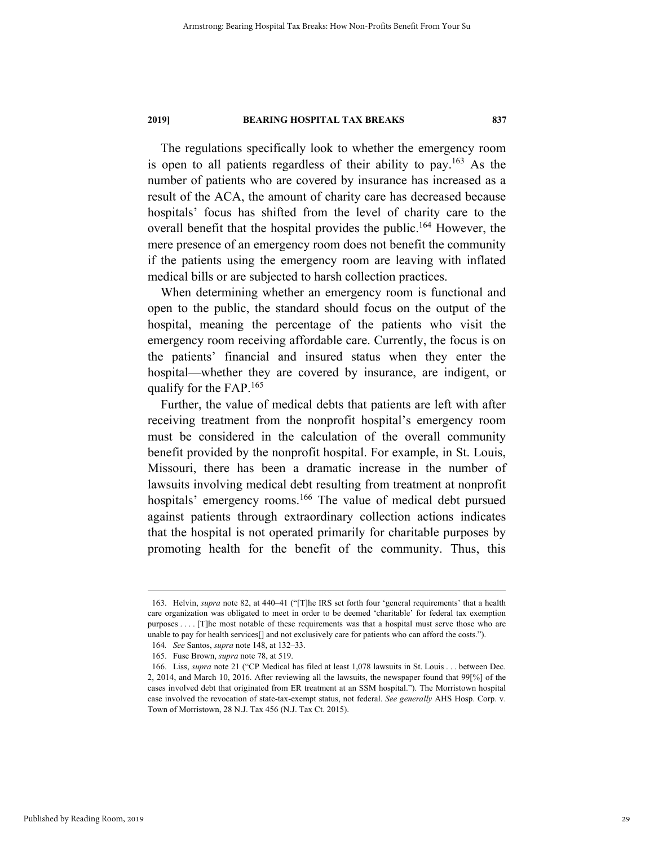The regulations specifically look to whether the emergency room is open to all patients regardless of their ability to pay.163 As the number of patients who are covered by insurance has increased as a result of the ACA, the amount of charity care has decreased because hospitals' focus has shifted from the level of charity care to the overall benefit that the hospital provides the public.<sup>164</sup> However, the mere presence of an emergency room does not benefit the community if the patients using the emergency room are leaving with inflated medical bills or are subjected to harsh collection practices.

When determining whether an emergency room is functional and open to the public, the standard should focus on the output of the hospital, meaning the percentage of the patients who visit the emergency room receiving affordable care. Currently, the focus is on the patients' financial and insured status when they enter the hospital—whether they are covered by insurance, are indigent, or qualify for the  $FAP$ .<sup>165</sup>

Further, the value of medical debts that patients are left with after receiving treatment from the nonprofit hospital's emergency room must be considered in the calculation of the overall community benefit provided by the nonprofit hospital. For example, in St. Louis, Missouri, there has been a dramatic increase in the number of lawsuits involving medical debt resulting from treatment at nonprofit hospitals' emergency rooms.<sup>166</sup> The value of medical debt pursued against patients through extraordinary collection actions indicates that the hospital is not operated primarily for charitable purposes by promoting health for the benefit of the community. Thus, this

 <sup>163.</sup> Helvin, *supra* note 82, at 440–41 ("[T]he IRS set forth four 'general requirements' that a health care organization was obligated to meet in order to be deemed 'charitable' for federal tax exemption purposes . . . . [T]he most notable of these requirements was that a hospital must serve those who are unable to pay for health services[] and not exclusively care for patients who can afford the costs.").

<sup>164</sup>*. See* Santos, *supra* note 148, at 132–33.

 <sup>165.</sup> Fuse Brown, *supra* note 78, at 519.

 <sup>166.</sup> Liss, *supra* note 21 ("CP Medical has filed at least 1,078 lawsuits in St. Louis . . . between Dec. 2, 2014, and March 10, 2016. After reviewing all the lawsuits, the newspaper found that 99[%] of the cases involved debt that originated from ER treatment at an SSM hospital."). The Morristown hospital case involved the revocation of state-tax-exempt status, not federal. *See generally* AHS Hosp. Corp. v. Town of Morristown, 28 N.J. Tax 456 (N.J. Tax Ct. 2015).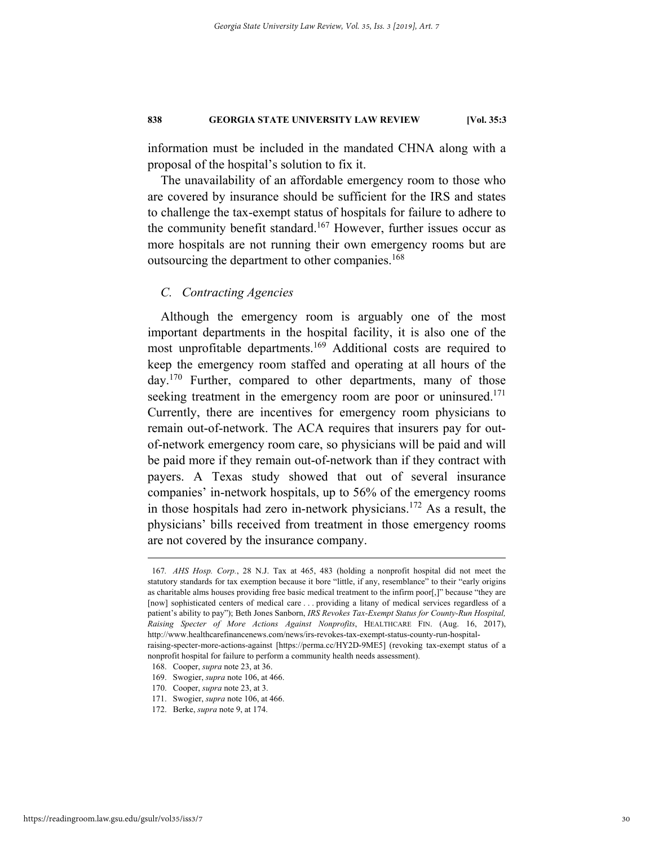information must be included in the mandated CHNA along with a proposal of the hospital's solution to fix it.

The unavailability of an affordable emergency room to those who are covered by insurance should be sufficient for the IRS and states to challenge the tax-exempt status of hospitals for failure to adhere to the community benefit standard.<sup>167</sup> However, further issues occur as more hospitals are not running their own emergency rooms but are outsourcing the department to other companies.<sup>168</sup>

#### *C. Contracting Agencies*

Although the emergency room is arguably one of the most important departments in the hospital facility, it is also one of the most unprofitable departments.169 Additional costs are required to keep the emergency room staffed and operating at all hours of the  $day.<sup>170</sup>$  Further, compared to other departments, many of those seeking treatment in the emergency room are poor or uninsured.<sup>171</sup> Currently, there are incentives for emergency room physicians to remain out-of-network. The ACA requires that insurers pay for outof-network emergency room care, so physicians will be paid and will be paid more if they remain out-of-network than if they contract with payers. A Texas study showed that out of several insurance companies' in-network hospitals, up to 56% of the emergency rooms in those hospitals had zero in-network physicians.172 As a result, the physicians' bills received from treatment in those emergency rooms are not covered by the insurance company.

 <sup>167</sup>*. AHS Hosp. Corp.*, 28 N.J. Tax at 465, 483 (holding a nonprofit hospital did not meet the statutory standards for tax exemption because it bore "little, if any, resemblance" to their "early origins as charitable alms houses providing free basic medical treatment to the infirm poor[,]" because "they are [now] sophisticated centers of medical care . . . providing a litany of medical services regardless of a patient's ability to pay"); Beth Jones Sanborn, *IRS Revokes Tax-Exempt Status for County-Run Hospital, Raising Specter of More Actions Against Nonprofits*, HEALTHCARE FIN. (Aug. 16, 2017), http://www.healthcarefinancenews.com/news/irs-revokes-tax-exempt-status-county-run-hospitalraising-specter-more-actions-against [https://perma.cc/HY2D-9ME5] (revoking tax-exempt status of a nonprofit hospital for failure to perform a community health needs assessment).

 <sup>168.</sup> Cooper, *supra* note 23, at 36.

 <sup>169.</sup> Swogier, *supra* note 106, at 466.

 <sup>170.</sup> Cooper, *supra* note 23, at 3.

 <sup>171.</sup> Swogier, *supra* note 106, at 466.

 <sup>172.</sup> Berke, *supra* note 9, at 174.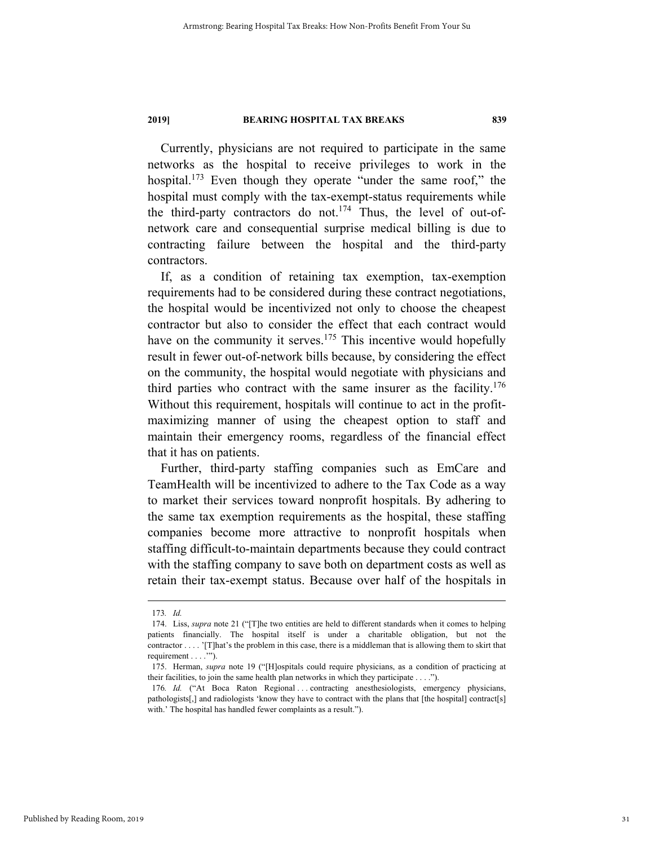Currently, physicians are not required to participate in the same networks as the hospital to receive privileges to work in the hospital.<sup>173</sup> Even though they operate "under the same roof," the hospital must comply with the tax-exempt-status requirements while the third-party contractors do not.<sup>174</sup> Thus, the level of out-ofnetwork care and consequential surprise medical billing is due to contracting failure between the hospital and the third-party contractors.

If, as a condition of retaining tax exemption, tax-exemption requirements had to be considered during these contract negotiations, the hospital would be incentivized not only to choose the cheapest contractor but also to consider the effect that each contract would have on the community it serves.<sup>175</sup> This incentive would hopefully result in fewer out-of-network bills because, by considering the effect on the community, the hospital would negotiate with physicians and third parties who contract with the same insurer as the facility.<sup>176</sup> Without this requirement, hospitals will continue to act in the profitmaximizing manner of using the cheapest option to staff and maintain their emergency rooms, regardless of the financial effect that it has on patients.

Further, third-party staffing companies such as EmCare and TeamHealth will be incentivized to adhere to the Tax Code as a way to market their services toward nonprofit hospitals. By adhering to the same tax exemption requirements as the hospital, these staffing companies become more attractive to nonprofit hospitals when staffing difficult-to-maintain departments because they could contract with the staffing company to save both on department costs as well as retain their tax-exempt status. Because over half of the hospitals in

 <sup>173</sup>*. Id.*

 <sup>174.</sup> Liss, *supra* note 21 ("[T]he two entities are held to different standards when it comes to helping patients financially. The hospital itself is under a charitable obligation, but not the contractor . . . . '[T]hat's the problem in this case, there is a middleman that is allowing them to skirt that requirement . . . . "").

 <sup>175.</sup> Herman, *supra* note 19 ("[H]ospitals could require physicians, as a condition of practicing at their facilities, to join the same health plan networks in which they participate . . . .").

<sup>176</sup>*. Id.* ("At Boca Raton Regional ... contracting anesthesiologists, emergency physicians, pathologists[,] and radiologists 'know they have to contract with the plans that [the hospital] contract[s] with.' The hospital has handled fewer complaints as a result.").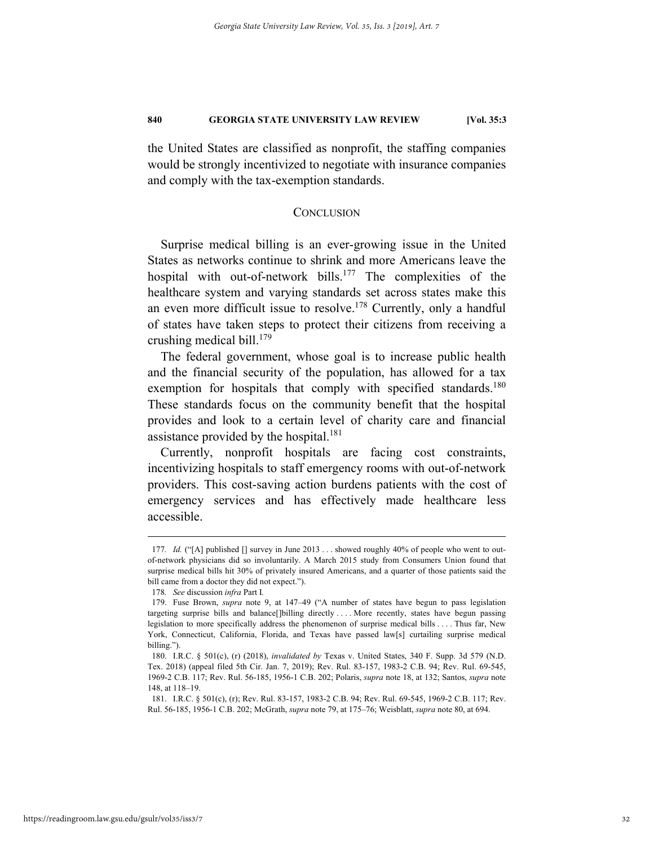the United States are classified as nonprofit, the staffing companies would be strongly incentivized to negotiate with insurance companies and comply with the tax-exemption standards.

#### **CONCLUSION**

Surprise medical billing is an ever-growing issue in the United States as networks continue to shrink and more Americans leave the hospital with out-of-network bills.<sup>177</sup> The complexities of the healthcare system and varying standards set across states make this an even more difficult issue to resolve.<sup>178</sup> Currently, only a handful of states have taken steps to protect their citizens from receiving a crushing medical bill. $179$ 

The federal government, whose goal is to increase public health and the financial security of the population, has allowed for a tax exemption for hospitals that comply with specified standards.<sup>180</sup> These standards focus on the community benefit that the hospital provides and look to a certain level of charity care and financial assistance provided by the hospital.<sup>181</sup>

Currently, nonprofit hospitals are facing cost constraints, incentivizing hospitals to staff emergency rooms with out-of-network providers. This cost-saving action burdens patients with the cost of emergency services and has effectively made healthcare less accessible.

 <sup>177</sup>*. Id.* ("[A] published [] survey in June 2013 . . . showed roughly 40% of people who went to outof-network physicians did so involuntarily. A March 2015 study from Consumers Union found that surprise medical bills hit 30% of privately insured Americans, and a quarter of those patients said the bill came from a doctor they did not expect.").

<sup>178</sup>*. See* discussion *infra* Part I*.*

 <sup>179.</sup> Fuse Brown, *supra* note 9, at 147–49 ("A number of states have begun to pass legislation targeting surprise bills and balance[]billing directly . . . . More recently, states have begun passing legislation to more specifically address the phenomenon of surprise medical bills . . . . Thus far, New York, Connecticut, California, Florida, and Texas have passed law[s] curtailing surprise medical billing.").

 <sup>180.</sup> I.R.C. § 501(c), (r) (2018), *invalidated by* Texas v. United States, 340 F. Supp. 3d 579 (N.D. Tex. 2018) (appeal filed 5th Cir. Jan. 7, 2019); Rev. Rul. 83-157, 1983-2 C.B. 94; Rev. Rul. 69-545, 1969-2 C.B. 117; Rev. Rul. 56-185, 1956-1 C.B. 202; Polaris, *supra* note 18, at 132; Santos, *supra* note 148, at 118–19.

 <sup>181.</sup> I.R.C. § 501(c), (r); Rev. Rul. 83-157, 1983-2 C.B. 94; Rev. Rul. 69-545, 1969-2 C.B. 117; Rev. Rul. 56-185, 1956-1 C.B. 202; McGrath, *supra* note 79, at 175–76; Weisblatt, *supra* note 80, at 694.